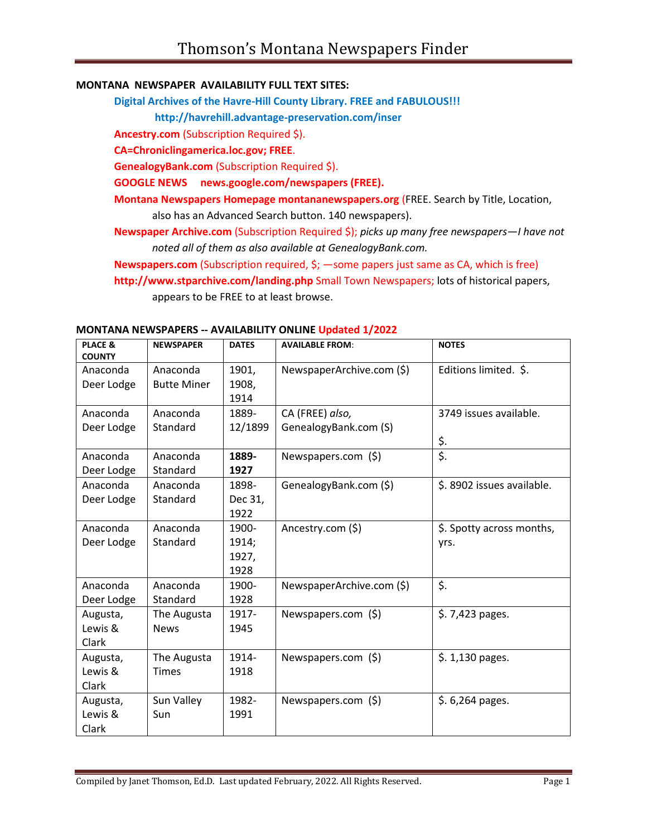### **MONTANA NEWSPAPER AVAILABILITY FULL TEXT SITES:**

**Digital Archives of the Havre-Hill County Library. FREE and FABULOUS!!!**

**http://havrehill.advantage-preservation.com/inser**

**Ancestry.com** (Subscription Required \$).

**CA=Chroniclingamerica.loc.gov; FREE**.

**GenealogyBank.com** (Subscription Required \$).

**GOOGLE NEWS news.google.com/newspapers (FREE).**

**Montana Newspapers Homepage montananewspapers.org** (FREE. Search by Title, Location, also has an Advanced Search button. 140 newspapers).

**Newspaper Archive.com** (Subscription Required \$); *picks up many free newspapers—I have not noted all of them as also available at GenealogyBank.com.*

**Newspapers.com** (Subscription required, \$; —some papers just same as CA, which is free)

**http://www.stparchive.com/landing.php** Small Town Newspapers; lots of historical papers, appears to be FREE to at least browse.

| PLACE &       | <b>NEWSPAPER</b>   | <b>DATES</b> | <b>AVAILABLE FROM:</b>    | <b>NOTES</b>              |
|---------------|--------------------|--------------|---------------------------|---------------------------|
| <b>COUNTY</b> |                    |              |                           |                           |
| Anaconda      | Anaconda           | 1901,        | NewspaperArchive.com (\$) | Editions limited. \$.     |
| Deer Lodge    | <b>Butte Miner</b> | 1908,        |                           |                           |
|               |                    | 1914         |                           |                           |
| Anaconda      | Anaconda           | 1889-        | CA (FREE) also,           | 3749 issues available.    |
| Deer Lodge    | Standard           | 12/1899      | GenealogyBank.com (S)     |                           |
|               |                    |              |                           | $rac{5}{5}$ .             |
| Anaconda      | Anaconda           | 1889-        | Newspapers.com (\$)       |                           |
| Deer Lodge    | Standard           | 1927         |                           |                           |
| Anaconda      | Anaconda           | 1898-        | GenealogyBank.com (\$)    | \$.8902 issues available. |
| Deer Lodge    | Standard           | Dec 31,      |                           |                           |
|               |                    | 1922         |                           |                           |
| Anaconda      | Anaconda           | 1900-        | Ancestry.com (\$)         | \$. Spotty across months, |
| Deer Lodge    | Standard           | 1914;        |                           | yrs.                      |
|               |                    | 1927,        |                           |                           |
|               |                    | 1928         |                           |                           |
| Anaconda      | Anaconda           | 1900-        | NewspaperArchive.com (\$) | \$.                       |
| Deer Lodge    | Standard           | 1928         |                           |                           |
| Augusta,      | The Augusta        | 1917-        | Newspapers.com (\$)       | \$.7,423 pages.           |
| Lewis &       | <b>News</b>        | 1945         |                           |                           |
| Clark         |                    |              |                           |                           |
| Augusta,      | The Augusta        | 1914-        | Newspapers.com (\$)       | $$.1,130$ pages.          |
| Lewis &       | <b>Times</b>       | 1918         |                           |                           |
| Clark         |                    |              |                           |                           |
| Augusta,      | Sun Valley         | 1982-        | Newspapers.com (\$)       | \$. 6,264 pages.          |
| Lewis &       | Sun                | 1991         |                           |                           |
| Clark         |                    |              |                           |                           |

### **MONTANA NEWSPAPERS -- AVAILABILITY ONLINE Updated 1/2022**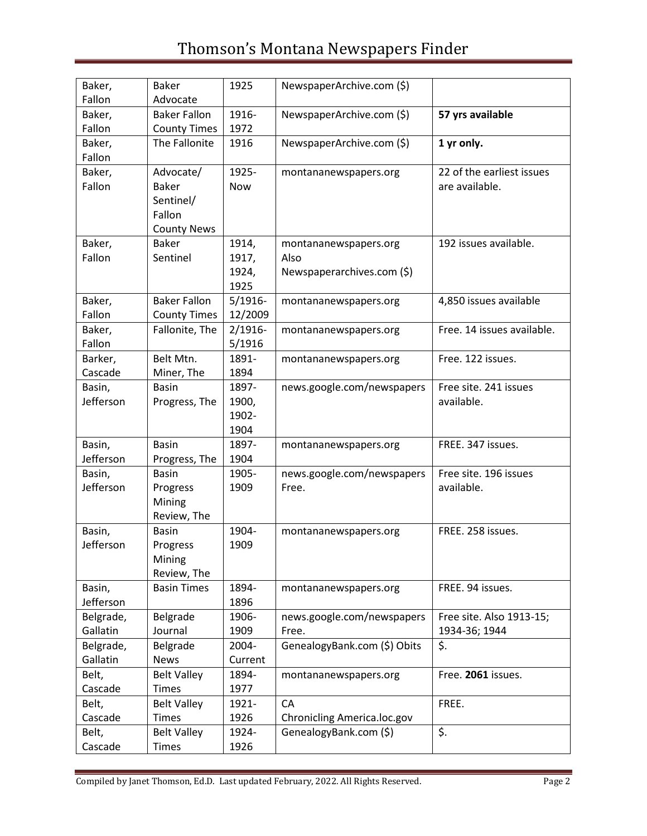| Baker,<br>Fallon    | <b>Baker</b><br>Advocate | 1925       | NewspaperArchive.com (\$)    |                            |
|---------------------|--------------------------|------------|------------------------------|----------------------------|
| Baker,              | <b>Baker Fallon</b>      | 1916-      | NewspaperArchive.com (\$)    | 57 yrs available           |
| Fallon              | <b>County Times</b>      | 1972       |                              |                            |
| Baker,              | The Fallonite            | 1916       | NewspaperArchive.com (\$)    | 1 yr only.                 |
| Fallon              |                          |            |                              |                            |
| Baker,              | Advocate/                | 1925-      | montananewspapers.org        | 22 of the earliest issues  |
| Fallon              | <b>Baker</b>             | Now        |                              | are available.             |
|                     | Sentinel/                |            |                              |                            |
|                     | Fallon                   |            |                              |                            |
|                     |                          |            |                              |                            |
|                     | <b>County News</b>       |            |                              |                            |
| Baker,              | <b>Baker</b>             | 1914,      | montananewspapers.org        | 192 issues available.      |
| Fallon              | Sentinel                 | 1917,      | Also                         |                            |
|                     |                          | 1924,      | Newspaperarchives.com (\$)   |                            |
|                     |                          | 1925       |                              |                            |
| Baker,              | <b>Baker Fallon</b>      | $5/1916$ - | montananewspapers.org        | 4,850 issues available     |
| Fallon              | <b>County Times</b>      | 12/2009    |                              |                            |
| Baker,              | Fallonite, The           | $2/1916 -$ | montananewspapers.org        | Free. 14 issues available. |
| Fallon              |                          | 5/1916     |                              |                            |
| Barker,             | Belt Mtn.                | 1891-      | montananewspapers.org        | Free. 122 issues.          |
| Cascade             | Miner, The               | 1894       |                              |                            |
| Basin,              | <b>Basin</b>             | 1897-      | news.google.com/newspapers   | Free site. 241 issues      |
| Jefferson           | Progress, The            | 1900,      |                              | available.                 |
|                     |                          | 1902-      |                              |                            |
|                     |                          | 1904       |                              |                            |
| Basin,              | <b>Basin</b>             | 1897-      | montananewspapers.org        | FREE. 347 issues.          |
| Jefferson           | Progress, The            | 1904       |                              |                            |
|                     | <b>Basin</b>             | 1905-      | news.google.com/newspapers   | Free site. 196 issues      |
| Basin,<br>Jefferson |                          |            |                              |                            |
|                     | Progress                 | 1909       | Free.                        | available.                 |
|                     | Mining                   |            |                              |                            |
|                     | Review, The              |            |                              |                            |
| Basin,              | <b>Basin</b>             | 1904-      | montananewspapers.org        | FREE. 258 issues.          |
| Jefferson           | Progress                 | 1909       |                              |                            |
|                     | Mining                   |            |                              |                            |
|                     | Review, The              |            |                              |                            |
| Basin,              | <b>Basin Times</b>       | 1894-      | montananewspapers.org        | FREE. 94 issues.           |
| Jefferson           |                          | 1896       |                              |                            |
| Belgrade,           | Belgrade                 | 1906-      | news.google.com/newspapers   | Free site. Also 1913-15;   |
| Gallatin            | Journal                  | 1909       | Free.                        | 1934-36; 1944              |
| Belgrade,           | Belgrade                 | 2004-      | GenealogyBank.com (\$) Obits | \$.                        |
| Gallatin            | <b>News</b>              | Current    |                              |                            |
| Belt,               | <b>Belt Valley</b>       | 1894-      | montananewspapers.org        | Free. 2061 issues.         |
| Cascade             | <b>Times</b>             | 1977       |                              |                            |
| Belt,               | <b>Belt Valley</b>       | 1921-      | CA                           | FREE.                      |
| Cascade             | <b>Times</b>             | 1926       | Chronicling America.loc.gov  |                            |
| Belt,               | <b>Belt Valley</b>       | 1924-      | GenealogyBank.com (\$)       | \$.                        |
| Cascade             | <b>Times</b>             | 1926       |                              |                            |
|                     |                          |            |                              |                            |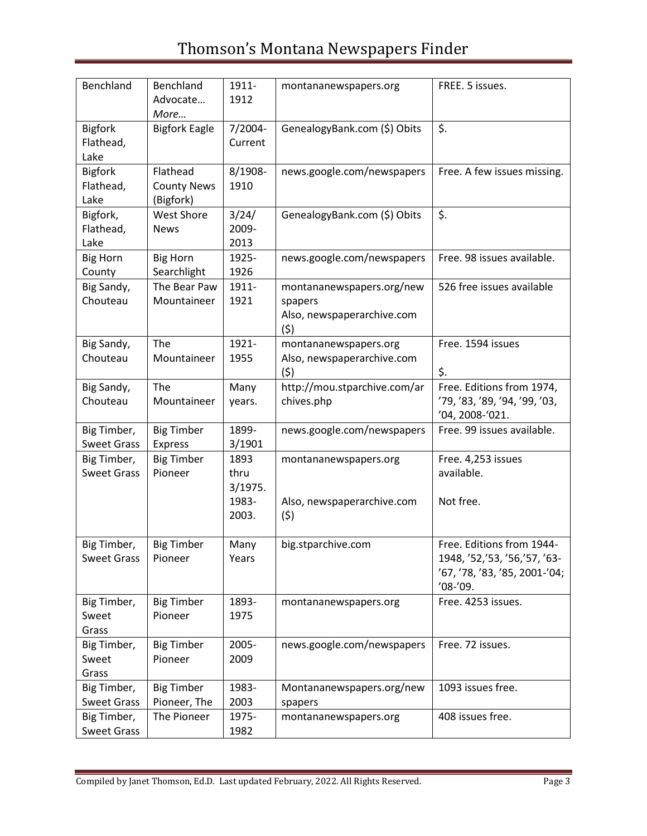| Benchland                           | Benchland<br>Advocate<br>More               | 1911-<br>1912           | montananewspapers.org                                                     | FREE. 5 issues.                                                                                        |
|-------------------------------------|---------------------------------------------|-------------------------|---------------------------------------------------------------------------|--------------------------------------------------------------------------------------------------------|
| <b>Bigfork</b><br>Flathead,<br>Lake | <b>Bigfork Eagle</b>                        | 7/2004-<br>Current      | GenealogyBank.com (\$) Obits                                              | \$.                                                                                                    |
| <b>Bigfork</b><br>Flathead,<br>Lake | Flathead<br><b>County News</b><br>(Bigfork) | 8/1908-<br>1910         | news.google.com/newspapers                                                | Free. A few issues missing.                                                                            |
| Bigfork,<br>Flathead,<br>Lake       | <b>West Shore</b><br><b>News</b>            | 3/24/<br>2009-<br>2013  | GenealogyBank.com (\$) Obits                                              | \$.                                                                                                    |
| <b>Big Horn</b><br>County           | <b>Big Horn</b><br>Searchlight              | 1925-<br>1926           | news.google.com/newspapers                                                | Free. 98 issues available.                                                                             |
| Big Sandy,<br>Chouteau              | The Bear Paw<br>Mountaineer                 | 1911-<br>1921           | montananewspapers.org/new<br>spapers<br>Also, newspaperarchive.com<br>(5) | 526 free issues available                                                                              |
| Big Sandy,<br>Chouteau              | The<br>Mountaineer                          | 1921-<br>1955           | montananewspapers.org<br>Also, newspaperarchive.com<br>(5)                | Free. 1594 issues<br>\$.                                                                               |
| Big Sandy,<br>Chouteau              | The<br>Mountaineer                          | Many<br>years.          | http://mou.stparchive.com/ar<br>chives.php                                | Free. Editions from 1974,<br>'79, '83, '89, '94, '99, '03,<br>'04, 2008-'021.                          |
| Big Timber,<br><b>Sweet Grass</b>   | <b>Big Timber</b><br><b>Express</b>         | 1899-<br>3/1901         | news.google.com/newspapers                                                | Free. 99 issues available.                                                                             |
| Big Timber,<br><b>Sweet Grass</b>   | <b>Big Timber</b><br>Pioneer                | 1893<br>thru<br>3/1975. | montananewspapers.org                                                     | Free. 4,253 issues<br>available.                                                                       |
|                                     |                                             | 1983-<br>2003.          | Also, newspaperarchive.com<br>(5)                                         | Not free.                                                                                              |
| Big Timber,<br><b>Sweet Grass</b>   | <b>Big Timber</b><br>Pioneer                | Many<br>Years           | big.stparchive.com                                                        | Free. Editions from 1944-<br>1948, '52,'53, '56,'57, '63-<br>'67, '78, '83, '85, 2001-'04;<br>'08-'09. |
| Big Timber,<br>Sweet<br>Grass       | <b>Big Timber</b><br>Pioneer                | 1893-<br>1975           | montananewspapers.org                                                     | Free. 4253 issues.                                                                                     |
| Big Timber,<br>Sweet<br>Grass       | <b>Big Timber</b><br>Pioneer                | 2005-<br>2009           | news.google.com/newspapers                                                | Free. 72 issues.                                                                                       |
| Big Timber,<br><b>Sweet Grass</b>   | <b>Big Timber</b><br>Pioneer, The           | 1983-<br>2003           | Montananewspapers.org/new<br>spapers                                      | 1093 issues free.                                                                                      |
| Big Timber,<br><b>Sweet Grass</b>   | The Pioneer                                 | 1975-<br>1982           | montananewspapers.org                                                     | 408 issues free.                                                                                       |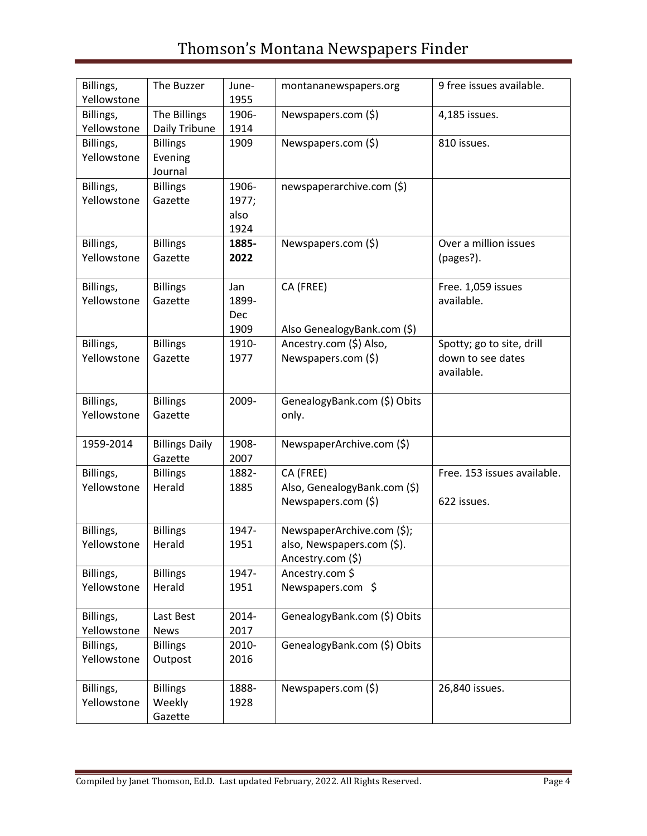| Billings,<br>Yellowstone | The Buzzer                            | June-<br>1955                      | montananewspapers.org                                                         | 9 free issues available.                                     |
|--------------------------|---------------------------------------|------------------------------------|-------------------------------------------------------------------------------|--------------------------------------------------------------|
| Billings,<br>Yellowstone | The Billings<br>Daily Tribune         | 1906-<br>1914                      | Newspapers.com (\$)                                                           | 4,185 issues.                                                |
| Billings,<br>Yellowstone | <b>Billings</b><br>Evening<br>Journal | 1909                               | Newspapers.com (\$)                                                           | 810 issues.                                                  |
| Billings,<br>Yellowstone | <b>Billings</b><br>Gazette            | 1906-<br>1977;<br>also<br>1924     | newspaperarchive.com (\$)                                                     |                                                              |
| Billings,<br>Yellowstone | <b>Billings</b><br>Gazette            | 1885-<br>2022                      | Newspapers.com (\$)                                                           | Over a million issues<br>(pages?).                           |
| Billings,<br>Yellowstone | <b>Billings</b><br>Gazette            | Jan<br>1899-<br><b>Dec</b><br>1909 | CA (FREE)<br>Also GenealogyBank.com (\$)                                      | Free. 1,059 issues<br>available.                             |
| Billings,<br>Yellowstone | <b>Billings</b><br>Gazette            | 1910-<br>1977                      | Ancestry.com (\$) Also,<br>Newspapers.com (\$)                                | Spotty; go to site, drill<br>down to see dates<br>available. |
| Billings,<br>Yellowstone | <b>Billings</b><br>Gazette            | 2009-                              | GenealogyBank.com (\$) Obits<br>only.                                         |                                                              |
| 1959-2014                | <b>Billings Daily</b><br>Gazette      | 1908-<br>2007                      | NewspaperArchive.com (\$)                                                     |                                                              |
| Billings,<br>Yellowstone | <b>Billings</b><br>Herald             | 1882-<br>1885                      | CA (FREE)<br>Also, GenealogyBank.com (\$)<br>Newspapers.com (\$)              | Free. 153 issues available.<br>622 issues.                   |
| Billings,<br>Yellowstone | <b>Billings</b><br>Herald             | 1947-<br>1951                      | NewspaperArchive.com (\$);<br>also, Newspapers.com (\$).<br>Ancestry.com (\$) |                                                              |
| Billings,<br>Yellowstone | <b>Billings</b><br>Herald             | 1947-<br>1951                      | Ancestry.com \$<br>Newspapers.com \$                                          |                                                              |
| Billings,<br>Yellowstone | Last Best<br><b>News</b>              | 2014-<br>2017                      | GenealogyBank.com (\$) Obits                                                  |                                                              |
| Billings,<br>Yellowstone | <b>Billings</b><br>Outpost            | 2010-<br>2016                      | GenealogyBank.com (\$) Obits                                                  |                                                              |
| Billings,<br>Yellowstone | <b>Billings</b><br>Weekly<br>Gazette  | 1888-<br>1928                      | Newspapers.com (\$)                                                           | 26,840 issues.                                               |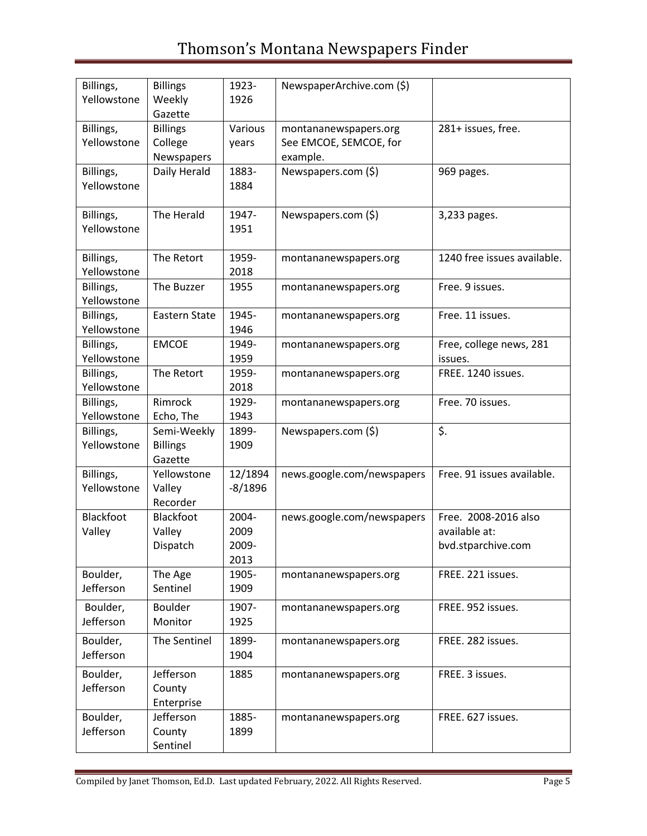| Billings,   | <b>Billings</b> | 1923-     | NewspaperArchive.com (\$)  |                             |
|-------------|-----------------|-----------|----------------------------|-----------------------------|
| Yellowstone | Weekly          | 1926      |                            |                             |
|             | Gazette         |           |                            |                             |
| Billings,   | <b>Billings</b> | Various   | montananewspapers.org      | 281+ issues, free.          |
| Yellowstone | College         | years     | See EMCOE, SEMCOE, for     |                             |
|             | Newspapers      |           | example.                   |                             |
| Billings,   | Daily Herald    | 1883-     | Newspapers.com (\$)        | 969 pages.                  |
| Yellowstone |                 | 1884      |                            |                             |
|             |                 |           |                            |                             |
|             |                 |           |                            |                             |
| Billings,   | The Herald      | 1947-     | Newspapers.com (\$)        | 3,233 pages.                |
| Yellowstone |                 | 1951      |                            |                             |
|             |                 |           |                            |                             |
| Billings,   | The Retort      | 1959-     | montananewspapers.org      | 1240 free issues available. |
| Yellowstone |                 | 2018      |                            |                             |
| Billings,   | The Buzzer      | 1955      | montananewspapers.org      | Free. 9 issues.             |
| Yellowstone |                 |           |                            |                             |
|             |                 |           |                            |                             |
| Billings,   | Eastern State   | 1945-     | montananewspapers.org      | Free. 11 issues.            |
| Yellowstone |                 | 1946      |                            |                             |
| Billings,   | <b>EMCOE</b>    | 1949-     | montananewspapers.org      | Free, college news, 281     |
| Yellowstone |                 | 1959      |                            | issues.                     |
| Billings,   | The Retort      | 1959-     | montananewspapers.org      | FREE. 1240 issues.          |
| Yellowstone |                 | 2018      |                            |                             |
| Billings,   | Rimrock         | 1929-     | montananewspapers.org      | Free. 70 issues.            |
| Yellowstone | Echo, The       | 1943      |                            |                             |
| Billings,   | Semi-Weekly     | 1899-     | Newspapers.com (\$)        | \$.                         |
| Yellowstone |                 | 1909      |                            |                             |
|             | <b>Billings</b> |           |                            |                             |
|             | Gazette         |           |                            |                             |
| Billings,   | Yellowstone     | 12/1894   | news.google.com/newspapers | Free. 91 issues available.  |
| Yellowstone | Valley          | $-8/1896$ |                            |                             |
|             | Recorder        |           |                            |                             |
| Blackfoot   | Blackfoot       | 2004-     | news.google.com/newspapers | Free. 2008-2016 also        |
| Valley      | Valley          | 2009      |                            | available at:               |
|             | Dispatch        | 2009-     |                            | bvd.stparchive.com          |
|             |                 | 2013      |                            |                             |
|             |                 | 1905-     |                            | FREE. 221 issues.           |
| Boulder,    | The Age         |           | montananewspapers.org      |                             |
| Jefferson   | Sentinel        | 1909      |                            |                             |
| Boulder,    | <b>Boulder</b>  | 1907-     | montananewspapers.org      | FREE. 952 issues.           |
| Jefferson   | Monitor         | 1925      |                            |                             |
|             |                 |           |                            |                             |
| Boulder,    | The Sentinel    | 1899-     | montananewspapers.org      | FREE. 282 issues.           |
| Jefferson   |                 | 1904      |                            |                             |
| Boulder,    | Jefferson       | 1885      | montananewspapers.org      | FREE. 3 issues.             |
| Jefferson   | County          |           |                            |                             |
|             | Enterprise      |           |                            |                             |
| Boulder,    | Jefferson       | 1885-     |                            | FREE. 627 issues.           |
|             |                 |           | montananewspapers.org      |                             |
| Jefferson   | County          | 1899      |                            |                             |
|             | Sentinel        |           |                            |                             |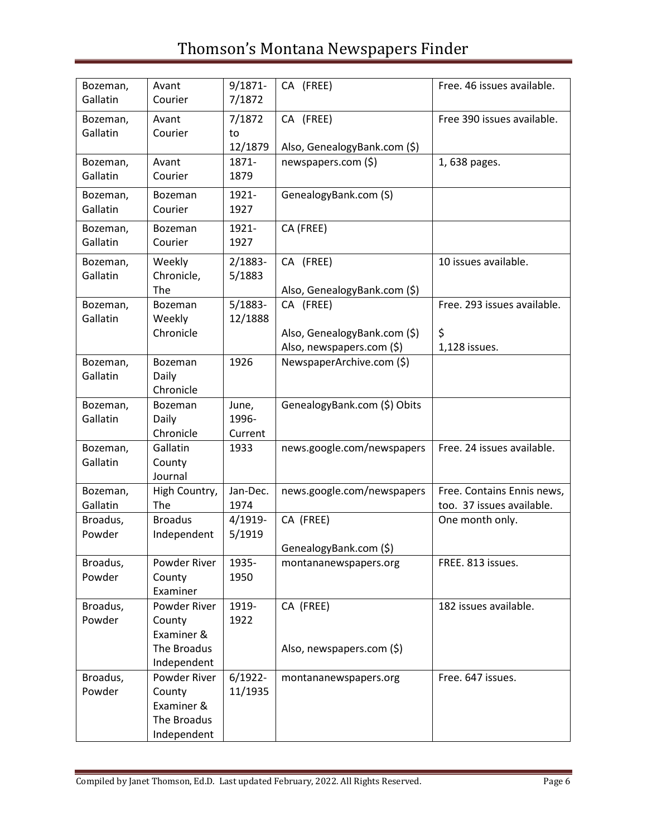| Bozeman,<br>Gallatin | Avant<br>Courier                                                   | $9/1871 -$<br>7/1872      | CA (FREE)                                                              | Free. 46 issues available.                              |
|----------------------|--------------------------------------------------------------------|---------------------------|------------------------------------------------------------------------|---------------------------------------------------------|
| Bozeman,<br>Gallatin | Avant<br>Courier                                                   | 7/1872<br>to<br>12/1879   | CA (FREE)<br>Also, GenealogyBank.com (\$)                              | Free 390 issues available.                              |
| Bozeman,<br>Gallatin | Avant<br>Courier                                                   | 1871-<br>1879             | newspapers.com (\$)                                                    | 1,638 pages.                                            |
| Bozeman,<br>Gallatin | Bozeman<br>Courier                                                 | 1921-<br>1927             | GenealogyBank.com (S)                                                  |                                                         |
| Bozeman,<br>Gallatin | Bozeman<br>Courier                                                 | 1921-<br>1927             | CA (FREE)                                                              |                                                         |
| Bozeman,<br>Gallatin | Weekly<br>Chronicle,<br>The                                        | 2/1883-<br>5/1883         | CA (FREE)<br>Also, GenealogyBank.com (\$)                              | 10 issues available.                                    |
| Bozeman,<br>Gallatin | Bozeman<br>Weekly<br>Chronicle                                     | $5/1883-$<br>12/1888      | CA (FREE)<br>Also, GenealogyBank.com (\$)<br>Also, newspapers.com (\$) | Free. 293 issues available.<br>\$<br>1,128 issues.      |
| Bozeman,<br>Gallatin | <b>Bozeman</b><br>Daily<br>Chronicle                               | 1926                      | NewspaperArchive.com (\$)                                              |                                                         |
| Bozeman,<br>Gallatin | Bozeman<br>Daily<br>Chronicle                                      | June,<br>1996-<br>Current | GenealogyBank.com (\$) Obits                                           |                                                         |
| Bozeman,<br>Gallatin | Gallatin<br>County<br>Journal                                      | 1933                      | news.google.com/newspapers                                             | Free. 24 issues available.                              |
| Bozeman,<br>Gallatin | High Country,<br>The                                               | Jan-Dec.<br>1974          | news.google.com/newspapers                                             | Free. Contains Ennis news,<br>too. 37 issues available. |
| Broadus,<br>Powder   | <b>Broadus</b><br>Independent                                      | 4/1919-<br>5/1919         | CA (FREE)<br>GenealogyBank.com (\$)                                    | One month only.                                         |
| Broadus,<br>Powder   | Powder River<br>County<br>Examiner                                 | 1935-<br>1950             | montananewspapers.org                                                  | FREE. 813 issues.                                       |
| Broadus,<br>Powder   | Powder River<br>County<br>Examiner &<br>The Broadus<br>Independent | 1919-<br>1922             | CA (FREE)<br>Also, newspapers.com (\$)                                 | 182 issues available.                                   |
| Broadus,<br>Powder   | Powder River<br>County<br>Examiner &<br>The Broadus<br>Independent | $6/1922 -$<br>11/1935     | montananewspapers.org                                                  | Free. 647 issues.                                       |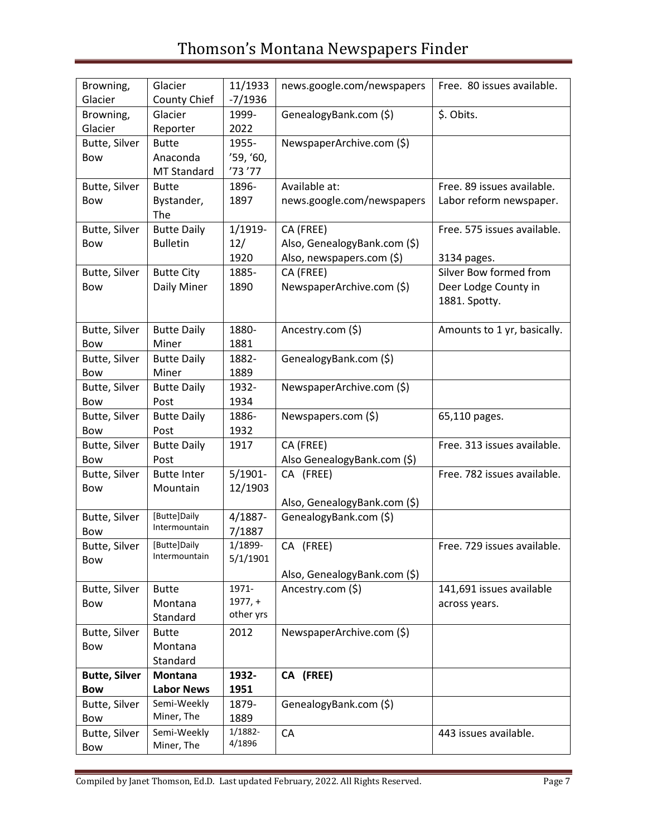| Browning,<br>Glacier               | Glacier<br>County Chief                        | 11/1933<br>$-7/1936$            | news.google.com/newspapers                                             | Free. 80 issues available.                                      |
|------------------------------------|------------------------------------------------|---------------------------------|------------------------------------------------------------------------|-----------------------------------------------------------------|
| Browning,<br>Glacier               | Glacier<br>Reporter                            | 1999-<br>2022                   | GenealogyBank.com (\$)                                                 | \$. Obits.                                                      |
| Butte, Silver<br>Bow               | <b>Butte</b><br>Anaconda<br><b>MT Standard</b> | 1955-<br>'59, '60,<br>'73'77    | NewspaperArchive.com (\$)                                              |                                                                 |
| Butte, Silver<br><b>Bow</b>        | <b>Butte</b><br>Bystander,<br>The              | 1896-<br>1897                   | Available at:<br>news.google.com/newspapers                            | Free. 89 issues available.<br>Labor reform newspaper.           |
| Butte, Silver<br>Bow               | <b>Butte Daily</b><br><b>Bulletin</b>          | 1/1919-<br>12/<br>1920          | CA (FREE)<br>Also, GenealogyBank.com (\$)<br>Also, newspapers.com (\$) | Free. 575 issues available.<br>3134 pages.                      |
| Butte, Silver<br><b>Bow</b>        | <b>Butte City</b><br>Daily Miner               | 1885-<br>1890                   | CA (FREE)<br>NewspaperArchive.com (\$)                                 | Silver Bow formed from<br>Deer Lodge County in<br>1881. Spotty. |
| Butte, Silver<br>Bow               | <b>Butte Daily</b><br>Miner                    | 1880-<br>1881                   | Ancestry.com (\$)                                                      | Amounts to 1 yr, basically.                                     |
| Butte, Silver<br>Bow               | <b>Butte Daily</b><br>Miner                    | 1882-<br>1889                   | GenealogyBank.com (\$)                                                 |                                                                 |
| Butte, Silver<br>Bow               | <b>Butte Daily</b><br>Post                     | 1932-<br>1934                   | NewspaperArchive.com (\$)                                              |                                                                 |
| Butte, Silver<br>Bow               | <b>Butte Daily</b><br>Post                     | 1886-<br>1932                   | Newspapers.com (\$)                                                    | 65,110 pages.                                                   |
| Butte, Silver<br>Bow               | <b>Butte Daily</b><br>Post                     | 1917                            | CA (FREE)<br>Also GenealogyBank.com (\$)                               | Free. 313 issues available.                                     |
| Butte, Silver<br>Bow               | <b>Butte Inter</b><br>Mountain                 | $5/1901 -$<br>12/1903           | CA (FREE)<br>Also, GenealogyBank.com (\$)                              | Free. 782 issues available.                                     |
| Butte, Silver<br>Bow               | [Butte]Daily<br>Intermountain                  | 4/1887-<br>7/1887               | GenealogyBank.com (\$)                                                 |                                                                 |
| Butte, Silver<br><b>Bow</b>        | [Butte]Daily<br>Intermountain                  | 1/1899-<br>5/1/1901             | CA (FREE)<br>Also, GenealogyBank.com (\$)                              | Free. 729 issues available                                      |
| Butte, Silver<br>Bow               | <b>Butte</b><br>Montana<br>Standard            | 1971-<br>$1977, +$<br>other yrs | Ancestry.com (\$)                                                      | 141,691 issues available<br>across years.                       |
| Butte, Silver<br>Bow               | <b>Butte</b><br>Montana<br>Standard            | 2012                            | NewspaperArchive.com (\$)                                              |                                                                 |
| <b>Butte, Silver</b><br><b>Bow</b> | <b>Montana</b><br><b>Labor News</b>            | 1932-<br>1951                   | CA (FREE)                                                              |                                                                 |
| Butte, Silver<br>Bow               | Semi-Weekly<br>Miner, The                      | 1879-<br>1889                   | GenealogyBank.com (\$)                                                 |                                                                 |
| Butte, Silver<br>Bow               | Semi-Weekly<br>Miner, The                      | 1/1882-<br>4/1896               | CA                                                                     | 443 issues available.                                           |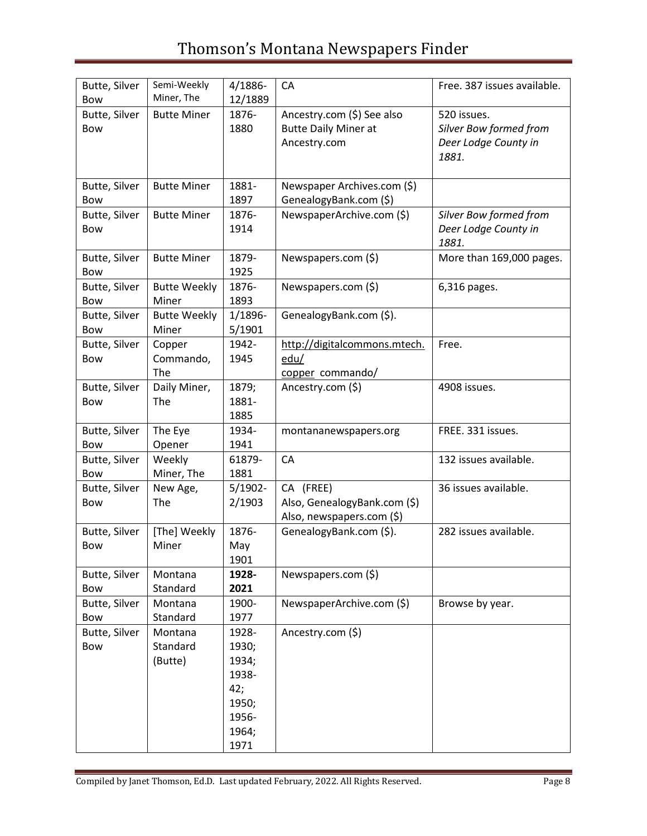| Butte, Silver<br><b>Bow</b> | Semi-Weekly<br>Miner, The      | 4/1886-<br>12/1889                                                         | CA                                                                        | Free. 387 issues available.                                            |
|-----------------------------|--------------------------------|----------------------------------------------------------------------------|---------------------------------------------------------------------------|------------------------------------------------------------------------|
| Butte, Silver<br>Bow        | <b>Butte Miner</b>             | 1876-<br>1880                                                              | Ancestry.com (\$) See also<br><b>Butte Daily Miner at</b><br>Ancestry.com | 520 issues.<br>Silver Bow formed from<br>Deer Lodge County in<br>1881. |
| Butte, Silver<br>Bow        | <b>Butte Miner</b>             | 1881-<br>1897                                                              | Newspaper Archives.com (\$)<br>GenealogyBank.com (\$)                     |                                                                        |
| Butte, Silver<br><b>Bow</b> | <b>Butte Miner</b>             | 1876-<br>1914                                                              | NewspaperArchive.com (\$)                                                 | Silver Bow formed from<br>Deer Lodge County in<br>1881.                |
| Butte, Silver<br>Bow        | <b>Butte Miner</b>             | 1879-<br>1925                                                              | Newspapers.com (\$)                                                       | More than 169,000 pages.                                               |
| Butte, Silver<br>Bow        | <b>Butte Weekly</b><br>Miner   | 1876-<br>1893                                                              | Newspapers.com (\$)                                                       | 6,316 pages.                                                           |
| Butte, Silver<br>Bow        | <b>Butte Weekly</b><br>Miner   | 1/1896-<br>5/1901                                                          | GenealogyBank.com (\$).                                                   |                                                                        |
| Butte, Silver<br>Bow        | Copper<br>Commando,<br>The     | 1942-<br>1945                                                              | http://digitalcommons.mtech.<br>edu/<br>copper commando/                  | Free.                                                                  |
| Butte, Silver<br>Bow        | Daily Miner,<br>The            | 1879;<br>1881-<br>1885                                                     | Ancestry.com (\$)                                                         | 4908 issues.                                                           |
| Butte, Silver<br>Bow        | The Eye<br>Opener              | 1934-<br>1941                                                              | montananewspapers.org                                                     | FREE. 331 issues.                                                      |
| Butte, Silver<br>Bow        | Weekly<br>Miner, The           | 61879-<br>1881                                                             | CA                                                                        | 132 issues available.                                                  |
| Butte, Silver<br>Bow        | New Age,<br>The                | $5/1902 -$<br>2/1903                                                       | CA (FREE)<br>Also, GenealogyBank.com (\$)<br>Also, newspapers.com (\$)    | 36 issues available.                                                   |
| Butte, Silver<br>Bow        | [The] Weekly<br>Miner          | 1876-<br>May<br>1901                                                       | GenealogyBank.com (\$).                                                   | 282 issues available.                                                  |
| Butte, Silver<br>Bow        | Montana<br>Standard            | 1928-<br>2021                                                              | Newspapers.com (\$)                                                       |                                                                        |
| Butte, Silver<br>Bow        | Montana<br>Standard            | 1900-<br>1977                                                              | NewspaperArchive.com (\$)                                                 | Browse by year.                                                        |
| Butte, Silver<br>Bow        | Montana<br>Standard<br>(Butte) | 1928-<br>1930;<br>1934;<br>1938-<br>42;<br>1950;<br>1956-<br>1964;<br>1971 | Ancestry.com (\$)                                                         |                                                                        |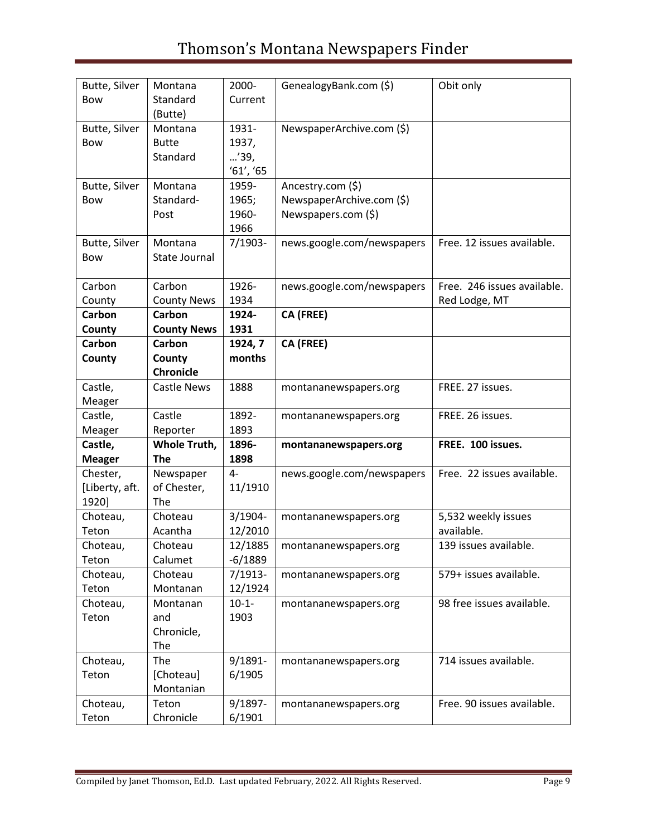| Butte, Silver<br>Bow     | Montana<br>Standard        | 2000-<br>Current | GenealogyBank.com (\$)     | Obit only                   |
|--------------------------|----------------------------|------------------|----------------------------|-----------------------------|
|                          | (Butte)                    |                  |                            |                             |
| Butte, Silver            | Montana                    | 1931-            | NewspaperArchive.com (\$)  |                             |
| Bow                      | <b>Butte</b>               | 1937,            |                            |                             |
|                          | Standard                   | '39,             |                            |                             |
|                          |                            | '61', '65        |                            |                             |
| Butte, Silver            | Montana                    | 1959-            | Ancestry.com (\$)          |                             |
| Bow                      | Standard-                  | 1965;            | NewspaperArchive.com (\$)  |                             |
|                          | Post                       | 1960-            | Newspapers.com (\$)        |                             |
|                          |                            | 1966             |                            |                             |
| Butte, Silver            | Montana                    | $7/1903 -$       | news.google.com/newspapers | Free. 12 issues available.  |
| Bow                      | State Journal              |                  |                            |                             |
| Carbon                   | Carbon                     | 1926-            | news.google.com/newspapers | Free. 246 issues available. |
| County                   | <b>County News</b>         | 1934             |                            | Red Lodge, MT               |
| Carbon                   | Carbon                     | 1924-            | CA (FREE)                  |                             |
| County                   | <b>County News</b>         | 1931             |                            |                             |
| Carbon                   | Carbon                     | 1924, 7          | CA (FREE)                  |                             |
| County                   | County                     | months           |                            |                             |
|                          | <b>Chronicle</b>           |                  |                            |                             |
| Castle,                  | Castle News                | 1888             | montananewspapers.org      | FREE. 27 issues.            |
| Meager                   |                            |                  |                            |                             |
| Castle,                  | Castle                     | 1892-            | montananewspapers.org      | FREE. 26 issues.            |
| Meager                   | Reporter                   | 1893<br>1896-    |                            | FREE. 100 issues.           |
| Castle,<br><b>Meager</b> | Whole Truth,<br><b>The</b> | 1898             | montananewspapers.org      |                             |
| Chester,                 | Newspaper                  | $4-$             | news.google.com/newspapers | Free. 22 issues available.  |
| [Liberty, aft.           | of Chester,                | 11/1910          |                            |                             |
| 1920]                    | The                        |                  |                            |                             |
| Choteau,                 | Choteau                    | $3/1904 -$       | montananewspapers.org      | 5,532 weekly issues         |
| Teton                    | Acantha                    | 12/2010          |                            | available.                  |
| Choteau,                 | Choteau                    | 12/1885          | montananewspapers.org      | 139 issues available.       |
| Teton                    | Calumet                    | $-6/1889$        |                            |                             |
| Choteau,                 | Choteau                    | $7/1913-$        | montananewspapers.org      | 579+ issues available.      |
| Teton                    | Montanan                   | 12/1924          |                            |                             |
| Choteau,<br>Teton        | Montanan<br>and            | $10-1-$<br>1903  | montananewspapers.org      | 98 free issues available.   |
|                          | Chronicle,                 |                  |                            |                             |
|                          | The                        |                  |                            |                             |
| Choteau,                 | The                        | $9/1891 -$       | montananewspapers.org      | 714 issues available.       |
| Teton                    | [Choteau]                  | 6/1905           |                            |                             |
|                          | Montanian                  |                  |                            |                             |
| Choteau,                 | Teton                      | 9/1897-          | montananewspapers.org      | Free. 90 issues available.  |
| Teton                    | Chronicle                  | 6/1901           |                            |                             |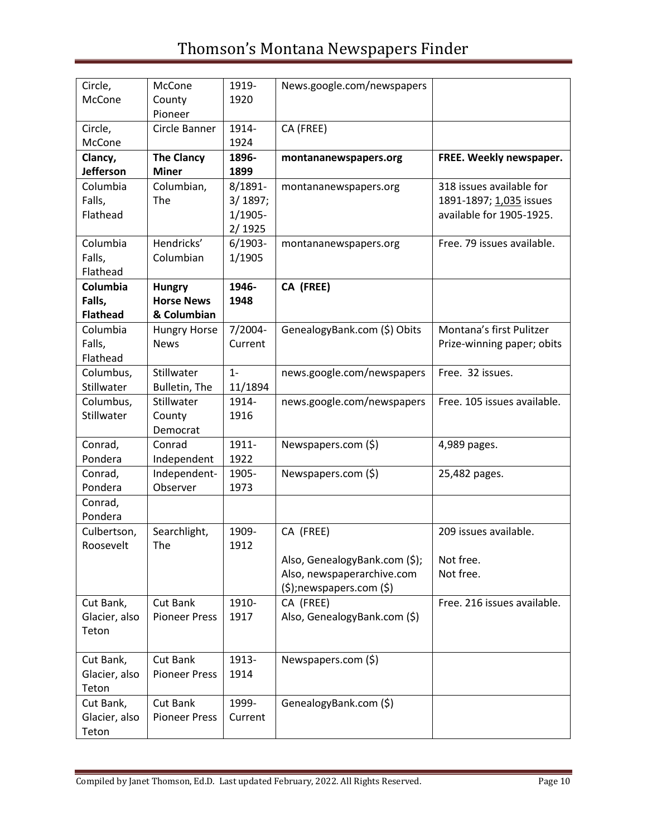| Circle,         | McCone               | 1919-      | News.google.com/newspapers    |                             |
|-----------------|----------------------|------------|-------------------------------|-----------------------------|
| McCone          | County               | 1920       |                               |                             |
|                 | Pioneer              |            |                               |                             |
| Circle,         | Circle Banner        | 1914-      | CA (FREE)                     |                             |
| McCone          |                      | 1924       |                               |                             |
| Clancy,         | <b>The Clancy</b>    | 1896-      | montananewspapers.org         | FREE. Weekly newspaper.     |
| Jefferson       | <b>Miner</b>         | 1899       |                               |                             |
| Columbia        | Columbian,           | 8/1891-    | montananewspapers.org         | 318 issues available for    |
| Falls,          | The                  | 3/1897;    |                               | 1891-1897; 1,035 issues     |
| Flathead        |                      | 1/1905-    |                               | available for 1905-1925.    |
|                 |                      | 2/1925     |                               |                             |
| Columbia        | Hendricks'           | $6/1903 -$ | montananewspapers.org         | Free. 79 issues available.  |
| Falls,          | Columbian            | 1/1905     |                               |                             |
| Flathead        |                      |            |                               |                             |
| Columbia        | <b>Hungry</b>        | 1946-      | CA (FREE)                     |                             |
| Falls,          | <b>Horse News</b>    | 1948       |                               |                             |
| <b>Flathead</b> | & Columbian          |            |                               |                             |
| Columbia        | <b>Hungry Horse</b>  | 7/2004-    | GenealogyBank.com (\$) Obits  | Montana's first Pulitzer    |
| Falls,          | <b>News</b>          | Current    |                               | Prize-winning paper; obits  |
| Flathead        |                      |            |                               |                             |
| Columbus,       | Stillwater           | $1 -$      | news.google.com/newspapers    | Free. 32 issues.            |
| Stillwater      | Bulletin, The        | 11/1894    |                               |                             |
| Columbus,       | Stillwater           | 1914-      | news.google.com/newspapers    | Free. 105 issues available. |
| Stillwater      | County               | 1916       |                               |                             |
|                 | Democrat             |            |                               |                             |
| Conrad,         | Conrad               | 1911-      | Newspapers.com (\$)           | 4,989 pages.                |
| Pondera         | Independent          | 1922       |                               |                             |
| Conrad,         | Independent-         | 1905-      | Newspapers.com (\$)           | 25,482 pages.               |
| Pondera         | Observer             | 1973       |                               |                             |
| Conrad,         |                      |            |                               |                             |
| Pondera         |                      |            |                               |                             |
| Culbertson,     | Searchlight,         | 1909-      | CA (FREE)                     | 209 issues available.       |
| Roosevelt       | The                  | 1912       |                               |                             |
|                 |                      |            | Also, GenealogyBank.com (\$); | Not free.                   |
|                 |                      |            | Also, newspaperarchive.com    | Not free.                   |
|                 |                      |            | $(\$)$ ;newspapers.com $(\$)$ |                             |
| Cut Bank,       | Cut Bank             | 1910-      | CA (FREE)                     | Free. 216 issues available. |
| Glacier, also   | <b>Pioneer Press</b> | 1917       | Also, GenealogyBank.com (\$)  |                             |
| Teton           |                      |            |                               |                             |
|                 |                      |            |                               |                             |
| Cut Bank,       | Cut Bank             | 1913-      | Newspapers.com (\$)           |                             |
| Glacier, also   | <b>Pioneer Press</b> | 1914       |                               |                             |
| Teton           |                      |            |                               |                             |
| Cut Bank,       | Cut Bank             | 1999-      | GenealogyBank.com (\$)        |                             |
| Glacier, also   | <b>Pioneer Press</b> | Current    |                               |                             |
| Teton           |                      |            |                               |                             |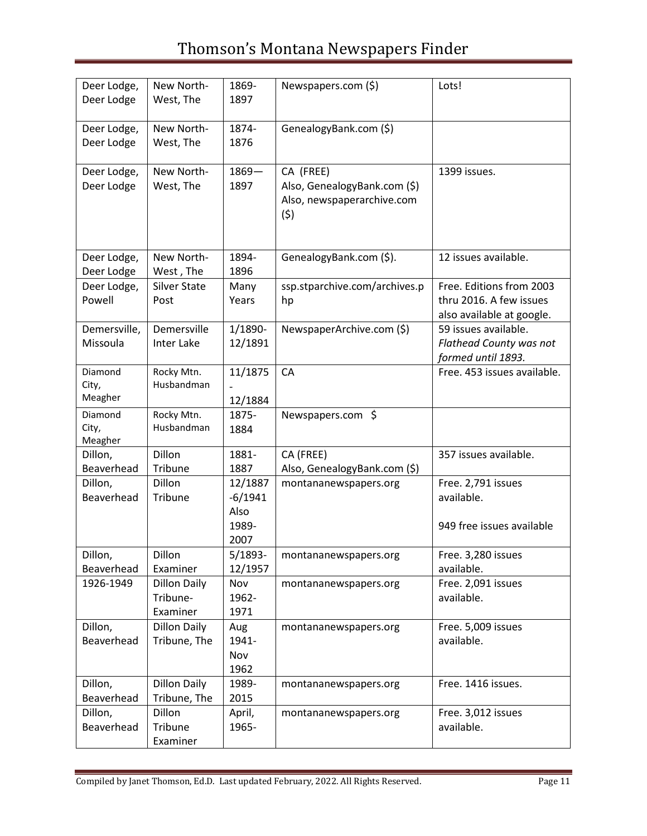| Deer Lodge,<br>Deer Lodge   | New North-<br>West, The                     | 1869-<br>1897                                 | Newspapers.com (\$)                                                            | Lots!                                                                            |
|-----------------------------|---------------------------------------------|-----------------------------------------------|--------------------------------------------------------------------------------|----------------------------------------------------------------------------------|
| Deer Lodge,<br>Deer Lodge   | New North-<br>West, The                     | 1874-<br>1876                                 | GenealogyBank.com (\$)                                                         |                                                                                  |
| Deer Lodge,<br>Deer Lodge   | New North-<br>West, The                     | $1869 -$<br>1897                              | CA (FREE)<br>Also, GenealogyBank.com (\$)<br>Also, newspaperarchive.com<br>(5) | 1399 issues.                                                                     |
| Deer Lodge,<br>Deer Lodge   | New North-<br>West, The                     | 1894-<br>1896                                 | GenealogyBank.com (\$).                                                        | 12 issues available.                                                             |
| Deer Lodge,<br>Powell       | <b>Silver State</b><br>Post                 | Many<br>Years                                 | ssp.stparchive.com/archives.p<br>hp                                            | Free. Editions from 2003<br>thru 2016. A few issues<br>also available at google. |
| Demersville,<br>Missoula    | Demersville<br>Inter Lake                   | 1/1890-<br>12/1891                            | NewspaperArchive.com (\$)                                                      | 59 issues available.<br><b>Flathead County was not</b><br>formed until 1893.     |
| Diamond<br>City,<br>Meagher | Rocky Mtn.<br>Husbandman                    | 11/1875<br>12/1884                            | CA                                                                             | Free. 453 issues available.                                                      |
| Diamond<br>City,<br>Meagher | Rocky Mtn.<br>Husbandman                    | 1875-<br>1884                                 | Newspapers.com \$                                                              |                                                                                  |
| Dillon,<br>Beaverhead       | <b>Dillon</b><br>Tribune                    | 1881-<br>1887                                 | CA (FREE)<br>Also, GenealogyBank.com (\$)                                      | 357 issues available.                                                            |
| Dillon,<br>Beaverhead       | Dillon<br>Tribune                           | 12/1887<br>$-6/1941$<br>Also<br>1989-<br>2007 | montananewspapers.org                                                          | Free. 2,791 issues<br>available.<br>949 free issues available                    |
| Dillon,<br>Beaverhead       | Dillon<br>Examiner                          | $5/1893-$<br>12/1957                          | montananewspapers.org                                                          | Free. 3,280 issues<br>available.                                                 |
| 1926-1949                   | <b>Dillon Daily</b><br>Tribune-<br>Examiner | Nov<br>1962-<br>1971                          | montananewspapers.org                                                          | Free. 2,091 issues<br>available.                                                 |
| Dillon,<br>Beaverhead       | <b>Dillon Daily</b><br>Tribune, The         | Aug<br>1941-<br>Nov<br>1962                   | montananewspapers.org                                                          | Free. 5,009 issues<br>available.                                                 |
| Dillon,<br>Beaverhead       | <b>Dillon Daily</b><br>Tribune, The         | 1989-<br>2015                                 | montananewspapers.org                                                          | Free. 1416 issues.                                                               |
| Dillon,<br>Beaverhead       | Dillon<br>Tribune<br>Examiner               | April,<br>1965-                               | montananewspapers.org                                                          | Free. 3,012 issues<br>available.                                                 |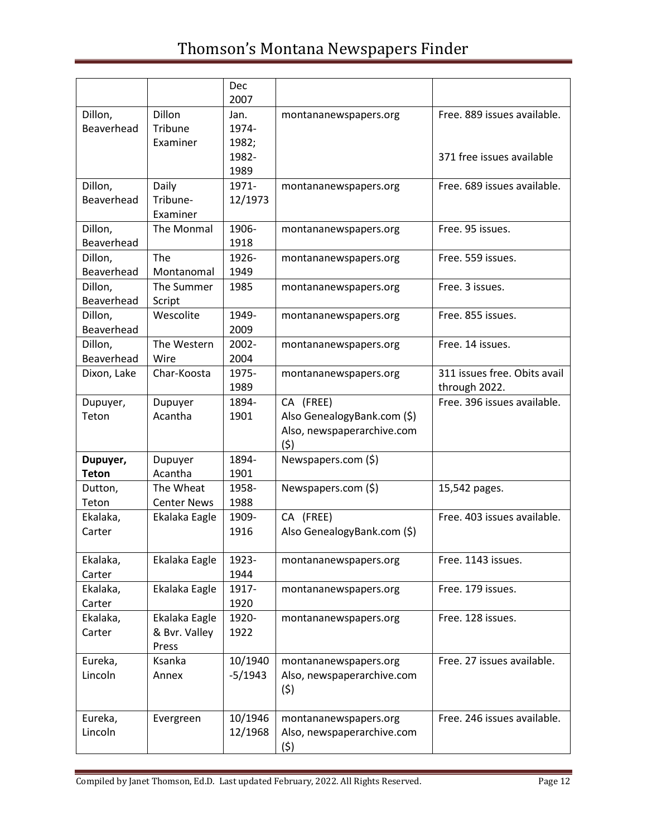|                       |                                     | Dec<br>2007    |                                   |                              |
|-----------------------|-------------------------------------|----------------|-----------------------------------|------------------------------|
| Dillon,               | Dillon                              | Jan.           | montananewspapers.org             | Free. 889 issues available.  |
| Beaverhead            | Tribune                             | 1974-          |                                   |                              |
|                       | Examiner                            | 1982;<br>1982- |                                   | 371 free issues available    |
|                       |                                     | 1989           |                                   |                              |
| Dillon,               | Daily                               | 1971-          | montananewspapers.org             | Free. 689 issues available.  |
| Beaverhead            | Tribune-                            | 12/1973        |                                   |                              |
|                       | Examiner                            |                |                                   |                              |
| Dillon,               | The Monmal                          | 1906-          | montananewspapers.org             | Free. 95 issues.             |
| Beaverhead<br>Dillon, | <b>The</b>                          | 1918<br>1926-  |                                   | Free. 559 issues.            |
| Beaverhead            | Montanomal                          | 1949           | montananewspapers.org             |                              |
| Dillon,               | The Summer                          | 1985           | montananewspapers.org             | Free. 3 issues.              |
| Beaverhead            | Script                              |                |                                   |                              |
| Dillon,               | Wescolite                           | 1949-          | montananewspapers.org             | Free. 855 issues.            |
| Beaverhead            |                                     | 2009<br>2002-  |                                   |                              |
| Dillon,<br>Beaverhead | The Western<br>Wire                 | 2004           | montananewspapers.org             | Free. 14 issues.             |
| Dixon, Lake           | Char-Koosta                         | 1975-          | montananewspapers.org             | 311 issues free. Obits avail |
|                       |                                     | 1989           |                                   | through 2022.                |
| Dupuyer,              | Dupuyer                             | 1894-          | CA (FREE)                         | Free. 396 issues available.  |
| Teton                 | Acantha                             | 1901           | Also GenealogyBank.com (\$)       |                              |
|                       |                                     |                | Also, newspaperarchive.com<br>(5) |                              |
| Dupuyer,              | Dupuyer                             | 1894-          | Newspapers.com (\$)               |                              |
| <b>Teton</b>          | Acantha                             | 1901           |                                   |                              |
| Dutton,               | The Wheat                           | 1958-          | Newspapers.com (\$)               | 15,542 pages.                |
| Teton<br>Ekalaka,     | <b>Center News</b><br>Ekalaka Eagle | 1988<br>1909-  | CA (FREE)                         | Free. 403 issues available.  |
| Carter                |                                     | 1916           | Also GenealogyBank.com (\$)       |                              |
|                       |                                     |                |                                   |                              |
| Ekalaka,              | Ekalaka Eagle                       | 1923-          | montananewspapers.org             | Free. 1143 issues.           |
| Carter                |                                     | 1944           |                                   |                              |
| Ekalaka,<br>Carter    | Ekalaka Eagle                       | 1917-<br>1920  | montananewspapers.org             | Free. 179 issues.            |
| Ekalaka,              | Ekalaka Eagle                       | 1920-          | montananewspapers.org             | Free. 128 issues.            |
| Carter                | & Bvr. Valley                       | 1922           |                                   |                              |
|                       | Press                               |                |                                   |                              |
| Eureka,               | Ksanka                              | 10/1940        | montananewspapers.org             | Free. 27 issues available.   |
| Lincoln               | Annex                               | $-5/1943$      | Also, newspaperarchive.com        |                              |
|                       |                                     |                | (5)                               |                              |
| Eureka,               | Evergreen                           | 10/1946        | montananewspapers.org             | Free. 246 issues available.  |
| Lincoln               |                                     | 12/1968        | Also, newspaperarchive.com        |                              |
|                       |                                     |                | (5)                               |                              |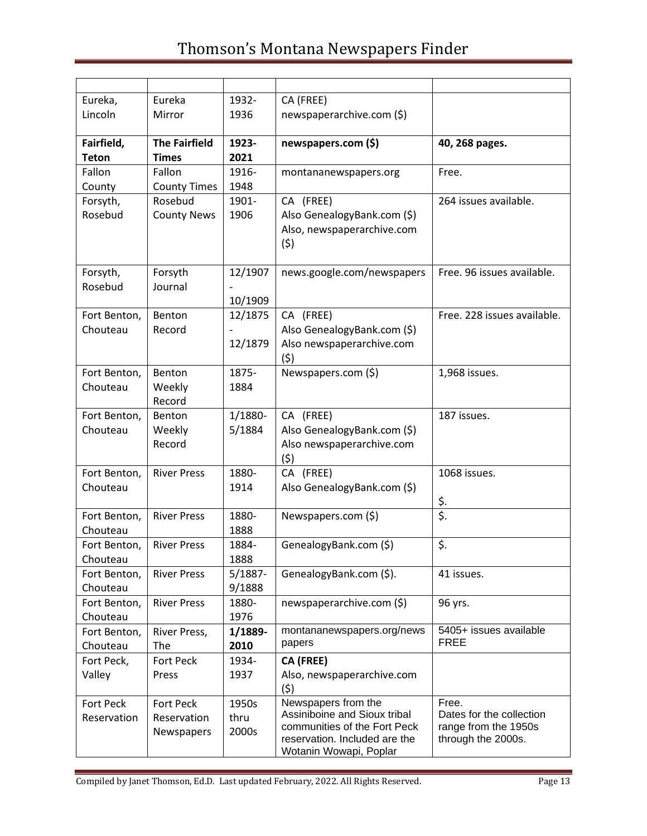| Eureka,          | Eureka               | 1932-   | CA (FREE)                                                    |                                                  |
|------------------|----------------------|---------|--------------------------------------------------------------|--------------------------------------------------|
| Lincoln          | Mirror               | 1936    | newspaperarchive.com (\$)                                    |                                                  |
|                  |                      |         |                                                              |                                                  |
| Fairfield,       | <b>The Fairfield</b> | 1923-   | newspapers.com (\$)                                          | 40, 268 pages.                                   |
| <b>Teton</b>     | <b>Times</b>         | 2021    |                                                              |                                                  |
| Fallon           | Fallon               | 1916-   | montananewspapers.org                                        | Free.                                            |
| County           | <b>County Times</b>  | 1948    |                                                              |                                                  |
| Forsyth,         | Rosebud              | 1901-   | CA (FREE)                                                    | 264 issues available.                            |
| Rosebud          | <b>County News</b>   | 1906    | Also GenealogyBank.com (\$)                                  |                                                  |
|                  |                      |         | Also, newspaperarchive.com                                   |                                                  |
|                  |                      |         | (5)                                                          |                                                  |
|                  |                      |         |                                                              |                                                  |
| Forsyth,         | Forsyth              | 12/1907 | news.google.com/newspapers                                   | Free. 96 issues available.                       |
| Rosebud          | Journal              |         |                                                              |                                                  |
|                  |                      | 10/1909 |                                                              |                                                  |
| Fort Benton,     | Benton               | 12/1875 | CA (FREE)                                                    | Free. 228 issues available.                      |
| Chouteau         | Record               |         | Also GenealogyBank.com (\$)                                  |                                                  |
|                  |                      | 12/1879 | Also newspaperarchive.com                                    |                                                  |
|                  |                      |         | (5)                                                          |                                                  |
| Fort Benton,     | Benton               | 1875-   | Newspapers.com (\$)                                          | 1,968 issues.                                    |
| Chouteau         | Weekly               | 1884    |                                                              |                                                  |
|                  | Record               |         |                                                              |                                                  |
| Fort Benton,     | Benton               | 1/1880- | CA (FREE)                                                    | 187 issues.                                      |
| Chouteau         | Weekly               | 5/1884  | Also GenealogyBank.com (\$)                                  |                                                  |
|                  | Record               |         | Also newspaperarchive.com                                    |                                                  |
|                  |                      |         | (5)                                                          |                                                  |
| Fort Benton,     | <b>River Press</b>   | 1880-   | CA (FREE)                                                    | 1068 issues.                                     |
| Chouteau         |                      | 1914    | Also GenealogyBank.com (\$)                                  |                                                  |
|                  |                      |         |                                                              | $rac{\xi}{\xi}$ .                                |
| Fort Benton,     | <b>River Press</b>   | 1880-   | Newspapers.com (\$)                                          |                                                  |
| Chouteau         |                      | 1888    |                                                              |                                                  |
| Fort Benton,     | <b>River Press</b>   | 1884-   | GenealogyBank.com (\$)                                       | \$.                                              |
| Chouteau         |                      | 1888    |                                                              |                                                  |
| Fort Benton,     | <b>River Press</b>   | 5/1887- | GenealogyBank.com (\$).                                      | 41 issues.                                       |
| Chouteau         |                      | 9/1888  |                                                              |                                                  |
| Fort Benton,     | <b>River Press</b>   | 1880-   | newspaperarchive.com (\$)                                    | 96 yrs.                                          |
| Chouteau         |                      | 1976    |                                                              |                                                  |
| Fort Benton,     | River Press,         | 1/1889- | montananewspapers.org/news                                   | 5405+ issues available                           |
| Chouteau         | The                  | 2010    | papers                                                       | <b>FREE</b>                                      |
| Fort Peck,       | <b>Fort Peck</b>     | 1934-   | CA (FREE)                                                    |                                                  |
| Valley           | Press                | 1937    | Also, newspaperarchive.com                                   |                                                  |
|                  |                      |         | (5)                                                          |                                                  |
| <b>Fort Peck</b> | <b>Fort Peck</b>     | 1950s   | Newspapers from the                                          | Free.                                            |
| Reservation      | Reservation          | thru    | Assiniboine and Sioux tribal<br>communities of the Fort Peck | Dates for the collection<br>range from the 1950s |
|                  | Newspapers           | 2000s   | reservation. Included are the                                | through the 2000s.                               |
|                  |                      |         | Wotanin Wowapi, Poplar                                       |                                                  |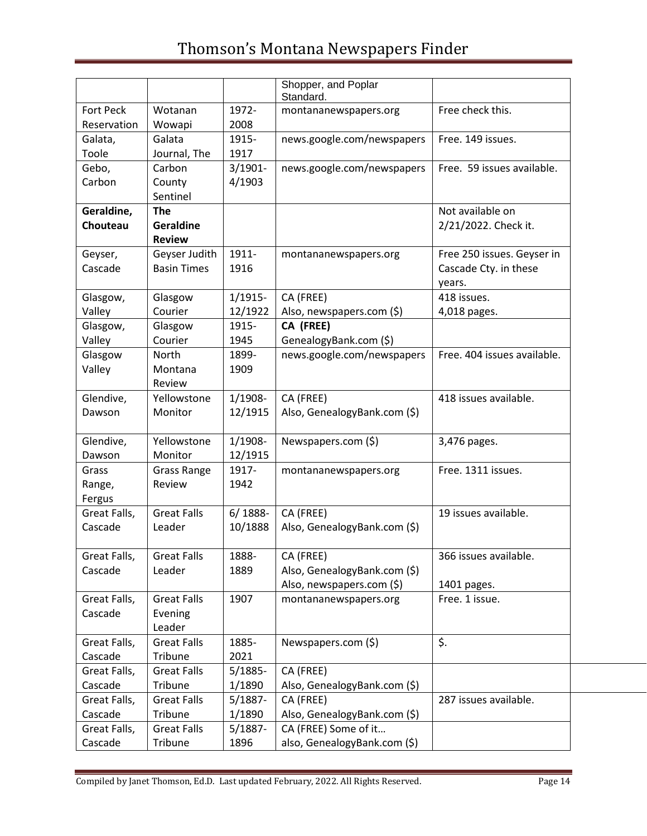|                  |                    |            | Shopper, and Poplar          |                             |
|------------------|--------------------|------------|------------------------------|-----------------------------|
|                  |                    |            | Standard.                    |                             |
| <b>Fort Peck</b> | Wotanan            | 1972-      | montananewspapers.org        | Free check this.            |
| Reservation      | Wowapi             | 2008       |                              |                             |
| Galata,          | Galata             | 1915-      | news.google.com/newspapers   | Free. 149 issues.           |
| Toole            | Journal, The       | 1917       |                              |                             |
| Gebo,            | Carbon             | $3/1901 -$ | news.google.com/newspapers   | Free. 59 issues available.  |
| Carbon           | County             | 4/1903     |                              |                             |
|                  | Sentinel           |            |                              |                             |
| Geraldine,       | <b>The</b>         |            |                              | Not available on            |
| Chouteau         | Geraldine          |            |                              | 2/21/2022. Check it.        |
|                  | <b>Review</b>      |            |                              |                             |
| Geyser,          | Geyser Judith      | 1911-      | montananewspapers.org        | Free 250 issues. Geyser in  |
| Cascade          | <b>Basin Times</b> | 1916       |                              | Cascade Cty. in these       |
|                  |                    |            |                              | years.                      |
| Glasgow,         | Glasgow            | $1/1915-$  | CA (FREE)                    | 418 issues.                 |
| Valley           | Courier            | 12/1922    | Also, newspapers.com (\$)    | 4,018 pages.                |
| Glasgow,         | Glasgow            | 1915-      | CA (FREE)                    |                             |
| Valley           | Courier            | 1945       | GenealogyBank.com (\$)       |                             |
| Glasgow          | North              | 1899-      | news.google.com/newspapers   | Free. 404 issues available. |
| Valley           | Montana            | 1909       |                              |                             |
|                  | Review             |            |                              |                             |
| Glendive,        | Yellowstone        | $1/1908 -$ | CA (FREE)                    | 418 issues available.       |
| Dawson           | Monitor            | 12/1915    | Also, GenealogyBank.com (\$) |                             |
|                  |                    |            |                              |                             |
| Glendive,        | Yellowstone        | $1/1908 -$ | Newspapers.com (\$)          | 3,476 pages.                |
| Dawson           | Monitor            | 12/1915    |                              |                             |
| Grass            | <b>Grass Range</b> | 1917-      | montananewspapers.org        | Free. 1311 issues.          |
| Range,           | Review             | 1942       |                              |                             |
| Fergus           |                    |            |                              |                             |
| Great Falls,     | <b>Great Falls</b> | $6/1888-$  | CA (FREE)                    | 19 issues available.        |
| Cascade          | Leader             | 10/1888    | Also, GenealogyBank.com (\$) |                             |
|                  |                    |            |                              |                             |
| Great Falls,     | <b>Great Falls</b> | 1888-      | CA (FREE)                    | 366 issues available.       |
| Cascade          | Leader             | 1889       | Also, GenealogyBank.com (\$) |                             |
|                  |                    |            | Also, newspapers.com (\$)    | 1401 pages.                 |
| Great Falls,     | <b>Great Falls</b> | 1907       | montananewspapers.org        | Free. 1 issue.              |
| Cascade          |                    |            |                              |                             |
|                  | Evening            |            |                              |                             |
|                  | Leader             |            |                              |                             |
| Great Falls,     | <b>Great Falls</b> | 1885-      | Newspapers.com (\$)          | \$.                         |
| Cascade          | Tribune            | 2021       |                              |                             |
| Great Falls,     | <b>Great Falls</b> | 5/1885-    | CA (FREE)                    |                             |
| Cascade          | Tribune            | 1/1890     | Also, GenealogyBank.com (\$) |                             |
| Great Falls,     | <b>Great Falls</b> | 5/1887-    | CA (FREE)                    | 287 issues available.       |
| Cascade          | Tribune            | 1/1890     | Also, GenealogyBank.com (\$) |                             |
| Great Falls,     | <b>Great Falls</b> | $5/1887 -$ | CA (FREE) Some of it         |                             |
| Cascade          | Tribune            | 1896       | also, GenealogyBank.com (\$) |                             |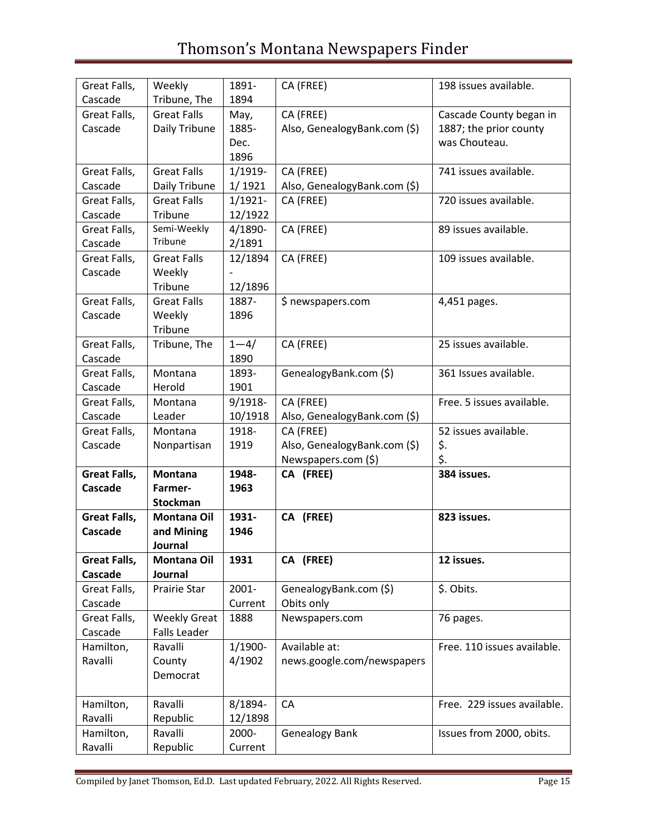| Great Falls,        | Weekly                     | 1891-      | CA (FREE)                    | 198 issues available.       |
|---------------------|----------------------------|------------|------------------------------|-----------------------------|
| Cascade             | Tribune, The               | 1894       |                              |                             |
| Great Falls,        | <b>Great Falls</b>         | May,       | CA (FREE)                    | Cascade County began in     |
| Cascade             | Daily Tribune              | 1885-      | Also, GenealogyBank.com (\$) | 1887; the prior county      |
|                     |                            | Dec.       |                              | was Chouteau.               |
|                     |                            | 1896       |                              |                             |
| Great Falls,        | <b>Great Falls</b>         | 1/1919-    | CA (FREE)                    | 741 issues available.       |
| Cascade             | Daily Tribune              | 1/1921     | Also, GenealogyBank.com (\$) |                             |
| Great Falls,        | <b>Great Falls</b>         | 1/1921-    | CA (FREE)                    | 720 issues available.       |
| Cascade             | Tribune                    | 12/1922    |                              |                             |
| Great Falls,        | Semi-Weekly                | 4/1890-    | CA (FREE)                    | 89 issues available.        |
| Cascade             | Tribune                    | 2/1891     |                              |                             |
| Great Falls,        | <b>Great Falls</b>         | 12/1894    | CA (FREE)                    | 109 issues available.       |
| Cascade             | Weekly                     |            |                              |                             |
|                     | Tribune                    | 12/1896    |                              |                             |
| Great Falls,        | <b>Great Falls</b>         | 1887-      | \$ newspapers.com            | 4,451 pages.                |
| Cascade             | Weekly                     | 1896       |                              |                             |
|                     | Tribune                    |            |                              |                             |
| Great Falls,        | Tribune, The               | $1 - 4/$   | CA (FREE)                    | 25 issues available.        |
| Cascade             |                            | 1890       |                              |                             |
| Great Falls,        | Montana                    | 1893-      | GenealogyBank.com (\$)       | 361 Issues available.       |
| Cascade             | Herold                     | 1901       |                              |                             |
| Great Falls,        | Montana                    | $9/1918 -$ | CA (FREE)                    | Free. 5 issues available.   |
| Cascade             | Leader                     | 10/1918    | Also, GenealogyBank.com (\$) |                             |
| Great Falls,        | Montana                    | 1918-      | CA (FREE)                    | 52 issues available.        |
| Cascade             | Nonpartisan                | 1919       | Also, GenealogyBank.com (\$) | \$.                         |
|                     |                            |            | Newspapers.com (\$)          | \$.                         |
| <b>Great Falls,</b> | <b>Montana</b>             | 1948-      | CA (FREE)                    | 384 issues.                 |
| Cascade             | Farmer-<br><b>Stockman</b> | 1963       |                              |                             |
| <b>Great Falls,</b> | Montana Oil                | 1931-      | CA (FREE)                    | 823 issues.                 |
| Cascade             | and Mining                 | 1946       |                              |                             |
|                     | Journal                    |            |                              |                             |
| Great Falls,        | <b>Montana Oil</b>         | 1931       | CA (FREE)                    | 12 issues.                  |
| Cascade             | Journal                    |            |                              |                             |
| Great Falls,        | Prairie Star               | 2001-      | GenealogyBank.com (\$)       | \$. Obits.                  |
| Cascade             |                            | Current    | Obits only                   |                             |
| Great Falls,        | <b>Weekly Great</b>        | 1888       | Newspapers.com               | 76 pages.                   |
| Cascade             | <b>Falls Leader</b>        |            |                              |                             |
| Hamilton,           | Ravalli                    | 1/1900-    | Available at:                | Free. 110 issues available. |
| Ravalli             | County                     | 4/1902     | news.google.com/newspapers   |                             |
|                     | Democrat                   |            |                              |                             |
|                     |                            |            |                              |                             |
| Hamilton,           | Ravalli                    | 8/1894-    | CA                           | Free. 229 issues available. |
| Ravalli             | Republic                   | 12/1898    |                              |                             |
| Hamilton,           | Ravalli                    | 2000-      | <b>Genealogy Bank</b>        | Issues from 2000, obits.    |
| Ravalli             | Republic                   | Current    |                              |                             |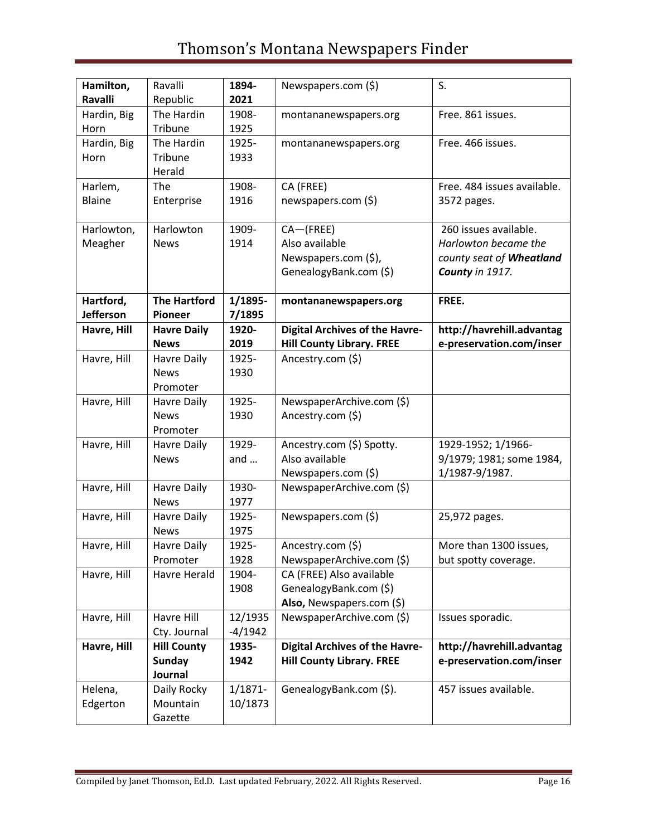| Hamilton,<br>Ravalli          | Ravalli<br>Republic                   | 1894-<br>2021     | Newspapers.com (\$)                            | S.                                          |
|-------------------------------|---------------------------------------|-------------------|------------------------------------------------|---------------------------------------------|
| Hardin, Big<br>Horn           | The Hardin<br>Tribune                 | 1908-<br>1925     | montananewspapers.org                          | Free. 861 issues.                           |
| Hardin, Big<br>Horn           | The Hardin<br>Tribune<br>Herald       | 1925-<br>1933     | montananewspapers.org                          | Free. 466 issues.                           |
| Harlem,                       | The                                   | 1908-             | CA (FREE)                                      | Free. 484 issues available.                 |
| <b>Blaine</b>                 | Enterprise                            | 1916              | newspapers.com (\$)                            | 3572 pages.                                 |
| Harlowton,                    | Harlowton                             | 1909-             | CA-(FREE)                                      | 260 issues available.                       |
| Meagher                       | <b>News</b>                           | 1914              | Also available                                 | Harlowton became the                        |
|                               |                                       |                   | Newspapers.com (\$),<br>GenealogyBank.com (\$) | county seat of Wheatland<br>County in 1917. |
| Hartford,<br><b>Jefferson</b> | <b>The Hartford</b><br><b>Pioneer</b> | 1/1895-<br>7/1895 | montananewspapers.org                          | FREE.                                       |
| Havre, Hill                   | <b>Havre Daily</b>                    | 1920-             | <b>Digital Archives of the Havre-</b>          | http://havrehill.advantag                   |
|                               | <b>News</b>                           | 2019              | <b>Hill County Library. FREE</b>               | e-preservation.com/inser                    |
| Havre, Hill                   | <b>Havre Daily</b>                    | 1925-             | Ancestry.com (\$)                              |                                             |
|                               | <b>News</b>                           | 1930              |                                                |                                             |
|                               | Promoter                              |                   |                                                |                                             |
| Havre, Hill                   | Havre Daily                           | 1925-             | NewspaperArchive.com (\$)                      |                                             |
|                               | <b>News</b>                           | 1930              | Ancestry.com (\$)                              |                                             |
|                               | Promoter                              |                   |                                                |                                             |
| Havre, Hill                   | Havre Daily                           | 1929-             | Ancestry.com (\$) Spotty.                      | 1929-1952; 1/1966-                          |
|                               | <b>News</b>                           | and $\dots$       | Also available                                 | 9/1979; 1981; some 1984,                    |
|                               |                                       |                   | Newspapers.com (\$)                            | 1/1987-9/1987.                              |
| Havre, Hill                   | <b>Havre Daily</b>                    | 1930-             | NewspaperArchive.com (\$)                      |                                             |
|                               | <b>News</b>                           | 1977              |                                                |                                             |
| Havre, Hill                   | <b>Havre Daily</b>                    | 1925-             | Newspapers.com (\$)                            | 25,972 pages.                               |
|                               | <b>News</b>                           | 1975              |                                                |                                             |
| Havre, Hill                   | Havre Daily                           | 1925-             | Ancestry.com (\$)                              | More than 1300 issues,                      |
|                               | Promoter                              | 1928              | NewspaperArchive.com (\$)                      | but spotty coverage.                        |
| Havre, Hill                   | Havre Herald                          | 1904-             | CA (FREE) Also available                       |                                             |
|                               |                                       | 1908              | GenealogyBank.com (\$)                         |                                             |
|                               |                                       |                   | Also, Newspapers.com (\$)                      |                                             |
| Havre, Hill                   | Havre Hill                            | 12/1935           | NewspaperArchive.com (\$)                      | Issues sporadic.                            |
|                               | Cty. Journal                          | $-4/1942$         |                                                |                                             |
| Havre, Hill                   | <b>Hill County</b>                    | 1935-             | <b>Digital Archives of the Havre-</b>          | http://havrehill.advantag                   |
|                               | <b>Sunday</b>                         | 1942              | <b>Hill County Library. FREE</b>               | e-preservation.com/inser                    |
|                               | Journal                               |                   |                                                |                                             |
| Helena,                       | Daily Rocky                           | $1/1871 -$        | GenealogyBank.com (\$).                        | 457 issues available.                       |
| Edgerton                      | Mountain                              | 10/1873           |                                                |                                             |
|                               | Gazette                               |                   |                                                |                                             |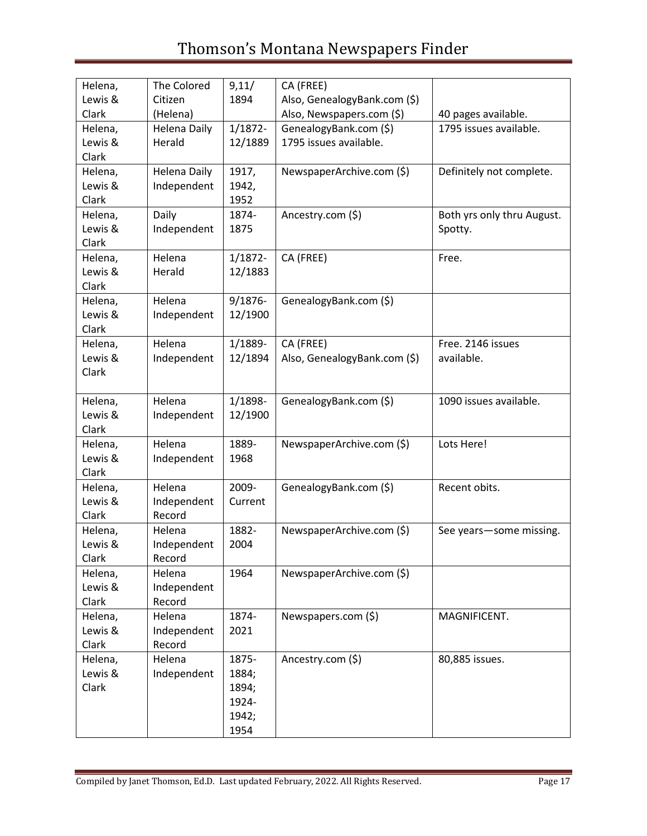| Helena, | The Colored         | 9,11/      | CA (FREE)                    |                            |
|---------|---------------------|------------|------------------------------|----------------------------|
| Lewis & | Citizen             | 1894       | Also, GenealogyBank.com (\$) |                            |
| Clark   | (Helena)            |            | Also, Newspapers.com (\$)    | 40 pages available.        |
| Helena, | <b>Helena Daily</b> | $1/1872 -$ | GenealogyBank.com (\$)       | 1795 issues available.     |
| Lewis & | Herald              | 12/1889    | 1795 issues available.       |                            |
| Clark   |                     |            |                              |                            |
| Helena, | Helena Daily        | 1917,      | NewspaperArchive.com (\$)    | Definitely not complete.   |
| Lewis & | Independent         | 1942,      |                              |                            |
| Clark   |                     | 1952       |                              |                            |
| Helena, | Daily               | 1874-      | Ancestry.com (\$)            | Both yrs only thru August. |
| Lewis & | Independent         | 1875       |                              | Spotty.                    |
| Clark   |                     |            |                              |                            |
| Helena, | Helena              | $1/1872 -$ | CA (FREE)                    | Free.                      |
| Lewis & | Herald              | 12/1883    |                              |                            |
| Clark   |                     |            |                              |                            |
| Helena, | Helena              | $9/1876 -$ | GenealogyBank.com (\$)       |                            |
| Lewis & | Independent         | 12/1900    |                              |                            |
| Clark   |                     |            |                              |                            |
| Helena, | Helena              | 1/1889-    | CA (FREE)                    | Free. 2146 issues          |
| Lewis & | Independent         | 12/1894    | Also, GenealogyBank.com (\$) | available.                 |
| Clark   |                     |            |                              |                            |
|         |                     |            |                              |                            |
| Helena, | Helena              | 1/1898-    | GenealogyBank.com (\$)       | 1090 issues available.     |
| Lewis & | Independent         | 12/1900    |                              |                            |
| Clark   |                     |            |                              |                            |
| Helena, | Helena              | 1889-      | NewspaperArchive.com (\$)    | Lots Here!                 |
| Lewis & | Independent         | 1968       |                              |                            |
| Clark   |                     |            |                              |                            |
| Helena, | Helena              | 2009-      | GenealogyBank.com (\$)       | Recent obits.              |
| Lewis & | Independent         | Current    |                              |                            |
| Clark   | Record              |            |                              |                            |
| Helena, | Helena              | 1882-      | NewspaperArchive.com (\$)    | See years-some missing.    |
| Lewis & | Independent         | 2004       |                              |                            |
| Clark   | Record              |            |                              |                            |
| Helena, | Helena              | 1964       | NewspaperArchive.com (\$)    |                            |
| Lewis & | Independent         |            |                              |                            |
| Clark   | Record              |            |                              |                            |
| Helena, | Helena              | 1874-      | Newspapers.com (\$)          | MAGNIFICENT.               |
| Lewis & | Independent         | 2021       |                              |                            |
| Clark   | Record              |            |                              |                            |
| Helena, | Helena              | 1875-      | Ancestry.com (\$)            | 80,885 issues.             |
| Lewis & | Independent         | 1884;      |                              |                            |
| Clark   |                     | 1894;      |                              |                            |
|         |                     | 1924-      |                              |                            |
|         |                     | 1942;      |                              |                            |
|         |                     | 1954       |                              |                            |
|         |                     |            |                              |                            |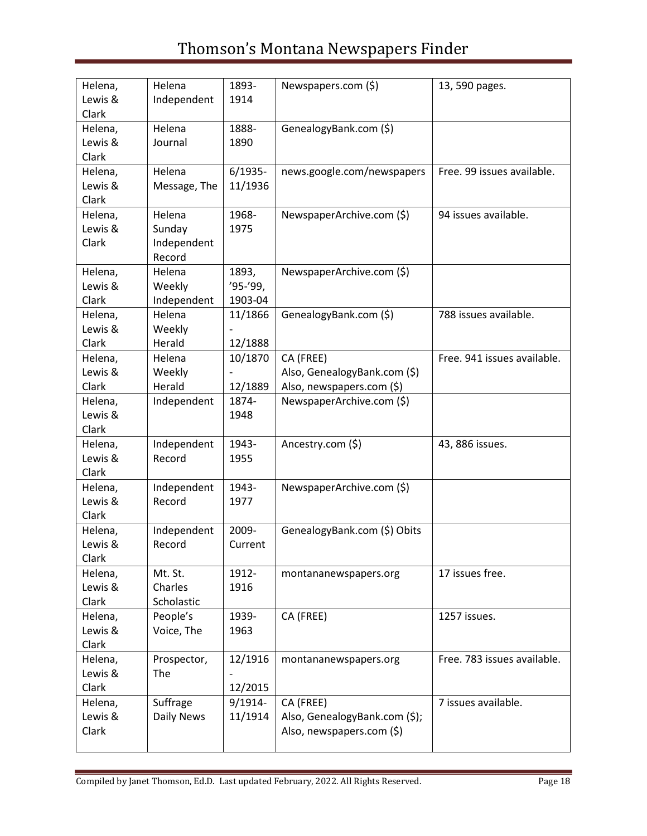| Helena, | Helena       | 1893-      | Newspapers.com (\$)           | 13, 590 pages.              |
|---------|--------------|------------|-------------------------------|-----------------------------|
| Lewis & | Independent  | 1914       |                               |                             |
| Clark   |              |            |                               |                             |
|         | Helena       | 1888-      |                               |                             |
| Helena, |              |            | GenealogyBank.com (\$)        |                             |
| Lewis & | Journal      | 1890       |                               |                             |
| Clark   |              |            |                               |                             |
| Helena, | Helena       | $6/1935 -$ | news.google.com/newspapers    | Free. 99 issues available.  |
| Lewis & | Message, The | 11/1936    |                               |                             |
| Clark   |              |            |                               |                             |
| Helena, | Helena       | 1968-      | NewspaperArchive.com (\$)     | 94 issues available.        |
| Lewis & | Sunday       | 1975       |                               |                             |
| Clark   | Independent  |            |                               |                             |
|         | Record       |            |                               |                             |
| Helena, | Helena       | 1893,      | NewspaperArchive.com (\$)     |                             |
| Lewis & | Weekly       | '95-'99,   |                               |                             |
| Clark   | Independent  | 1903-04    |                               |                             |
| Helena, | Helena       | 11/1866    | GenealogyBank.com (\$)        | 788 issues available.       |
| Lewis & | Weekly       |            |                               |                             |
| Clark   | Herald       | 12/1888    |                               |                             |
| Helena, | Helena       | 10/1870    | CA (FREE)                     | Free. 941 issues available. |
| Lewis & | Weekly       |            | Also, GenealogyBank.com (\$)  |                             |
| Clark   | Herald       | 12/1889    | Also, newspapers.com (\$)     |                             |
| Helena, | Independent  | 1874-      | NewspaperArchive.com (\$)     |                             |
| Lewis & |              | 1948       |                               |                             |
| Clark   |              |            |                               |                             |
| Helena, | Independent  | 1943-      | Ancestry.com (\$)             | 43, 886 issues.             |
|         |              |            |                               |                             |
| Lewis & | Record       | 1955       |                               |                             |
| Clark   |              |            |                               |                             |
| Helena, | Independent  | 1943-      | NewspaperArchive.com (\$)     |                             |
| Lewis & | Record       | 1977       |                               |                             |
| Clark   |              |            |                               |                             |
| Helena, | Independent  | 2009-      | GenealogyBank.com (\$) Obits  |                             |
| Lewis & | Record       | Current    |                               |                             |
| Clark   |              |            |                               |                             |
| Helena, | Mt. St.      | 1912-      | montananewspapers.org         | 17 issues free.             |
| Lewis & | Charles      | 1916       |                               |                             |
| Clark   | Scholastic   |            |                               |                             |
| Helena, | People's     | 1939-      | CA (FREE)                     | 1257 issues.                |
| Lewis & | Voice, The   | 1963       |                               |                             |
| Clark   |              |            |                               |                             |
| Helena, | Prospector,  | 12/1916    | montananewspapers.org         | Free. 783 issues available. |
| Lewis & | The          |            |                               |                             |
| Clark   |              | 12/2015    |                               |                             |
| Helena, | Suffrage     | $9/1914-$  | CA (FREE)                     | 7 issues available.         |
| Lewis & | Daily News   | 11/1914    | Also, GenealogyBank.com (\$); |                             |
| Clark   |              |            | Also, newspapers.com (\$)     |                             |
|         |              |            |                               |                             |
|         |              |            |                               |                             |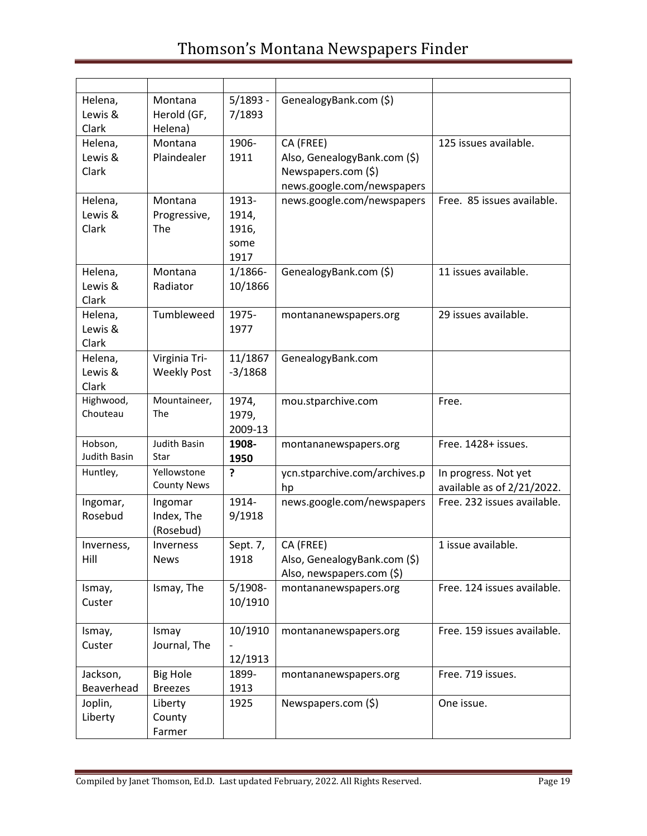| Helena,<br>Lewis &<br>Clark | Montana<br>Herold (GF,<br>Helena)   | $5/1893 -$<br>7/1893                    | GenealogyBank.com (\$)                                                                         |                                                    |
|-----------------------------|-------------------------------------|-----------------------------------------|------------------------------------------------------------------------------------------------|----------------------------------------------------|
| Helena,<br>Lewis &<br>Clark | Montana<br>Plaindealer              | 1906-<br>1911                           | CA (FREE)<br>Also, GenealogyBank.com (\$)<br>Newspapers.com (\$)<br>news.google.com/newspapers | 125 issues available.                              |
| Helena,<br>Lewis &<br>Clark | Montana<br>Progressive,<br>The      | 1913-<br>1914,<br>1916,<br>some<br>1917 | news.google.com/newspapers                                                                     | Free. 85 issues available.                         |
| Helena,<br>Lewis &<br>Clark | Montana<br>Radiator                 | 1/1866-<br>10/1866                      | GenealogyBank.com (\$)                                                                         | 11 issues available.                               |
| Helena,<br>Lewis &<br>Clark | Tumbleweed                          | 1975-<br>1977                           | montananewspapers.org                                                                          | 29 issues available.                               |
| Helena,<br>Lewis &<br>Clark | Virginia Tri-<br><b>Weekly Post</b> | 11/1867<br>$-3/1868$                    | GenealogyBank.com                                                                              |                                                    |
| Highwood,<br>Chouteau       | Mountaineer,<br>The                 | 1974,<br>1979,<br>2009-13               | mou.stparchive.com                                                                             | Free.                                              |
| Hobson,<br>Judith Basin     | Judith Basin<br>Star                | 1908-<br>1950                           | montananewspapers.org                                                                          | Free. 1428+ issues.                                |
| Huntley,                    | Yellowstone<br><b>County News</b>   | ?                                       | ycn.stparchive.com/archives.p<br>hp                                                            | In progress. Not yet<br>available as of 2/21/2022. |
| Ingomar,<br>Rosebud         | Ingomar<br>Index, The<br>(Rosebud)  | 1914-<br>9/1918                         | news.google.com/newspapers                                                                     | Free. 232 issues available.                        |
| Inverness,<br>Hill          | Inverness<br><b>News</b>            | Sept. 7,<br>1918                        | CA (FREE)<br>Also, GenealogyBank.com (\$)<br>Also, newspapers.com (\$)                         | 1 issue available.                                 |
| Ismay,<br>Custer            | Ismay, The                          | 5/1908-<br>10/1910                      | montananewspapers.org                                                                          | Free. 124 issues available.                        |
| Ismay,<br>Custer            | Ismay<br>Journal, The               | 10/1910<br>12/1913                      | montananewspapers.org                                                                          | Free. 159 issues available.                        |
| Jackson,<br>Beaverhead      | <b>Big Hole</b><br><b>Breezes</b>   | 1899-<br>1913                           | montananewspapers.org                                                                          | Free. 719 issues.                                  |
| Joplin,<br>Liberty          | Liberty<br>County<br>Farmer         | 1925                                    | Newspapers.com (\$)                                                                            | One issue.                                         |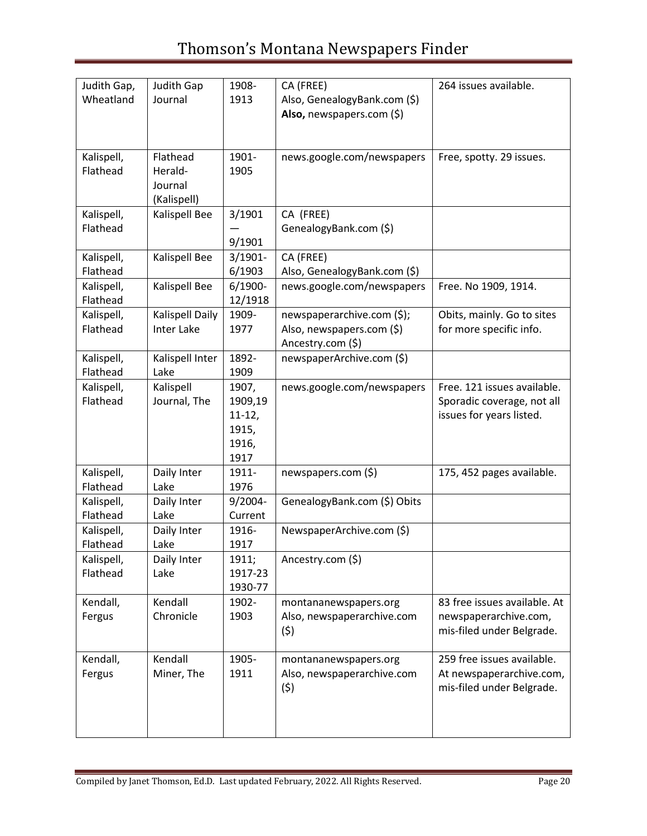| Judith Gap, | Judith Gap        | 1908-      | CA (FREE)                    | 264 issues available.        |
|-------------|-------------------|------------|------------------------------|------------------------------|
| Wheatland   | Journal           | 1913       | Also, GenealogyBank.com (\$) |                              |
|             |                   |            | Also, newspapers.com $(\xi)$ |                              |
|             |                   |            |                              |                              |
|             |                   |            |                              |                              |
| Kalispell,  | Flathead          | 1901-      | news.google.com/newspapers   | Free, spotty. 29 issues.     |
| Flathead    | Herald-           | 1905       |                              |                              |
|             | Journal           |            |                              |                              |
|             | (Kalispell)       |            |                              |                              |
| Kalispell,  | Kalispell Bee     | 3/1901     | CA (FREE)                    |                              |
| Flathead    |                   |            | GenealogyBank.com (\$)       |                              |
|             |                   | 9/1901     |                              |                              |
| Kalispell,  | Kalispell Bee     | $3/1901 -$ | CA (FREE)                    |                              |
| Flathead    |                   | 6/1903     | Also, GenealogyBank.com (\$) |                              |
| Kalispell,  | Kalispell Bee     | $6/1900 -$ | news.google.com/newspapers   | Free. No 1909, 1914.         |
| Flathead    |                   | 12/1918    |                              |                              |
| Kalispell,  | Kalispell Daily   | 1909-      | newspaperarchive.com (\$);   | Obits, mainly. Go to sites   |
| Flathead    | <b>Inter Lake</b> | 1977       | Also, newspapers.com (\$)    | for more specific info.      |
|             |                   |            | Ancestry.com (\$)            |                              |
| Kalispell,  | Kalispell Inter   | 1892-      | newspaperArchive.com (\$)    |                              |
| Flathead    | Lake              | 1909       |                              |                              |
| Kalispell,  | Kalispell         | 1907,      | news.google.com/newspapers   | Free. 121 issues available.  |
| Flathead    | Journal, The      | 1909,19    |                              | Sporadic coverage, not all   |
|             |                   | $11-12,$   |                              | issues for years listed.     |
|             |                   | 1915,      |                              |                              |
|             |                   | 1916,      |                              |                              |
|             |                   | 1917       |                              |                              |
| Kalispell,  | Daily Inter       | 1911-      | newspapers.com (\$)          | 175, 452 pages available.    |
| Flathead    | Lake              | 1976       |                              |                              |
| Kalispell,  | Daily Inter       | 9/2004-    | GenealogyBank.com (\$) Obits |                              |
| Flathead    | Lake              | Current    |                              |                              |
| Kalispell,  | Daily Inter       | 1916-      | NewspaperArchive.com (\$)    |                              |
| Flathead    | Lake              | 1917       |                              |                              |
| Kalispell,  | Daily Inter       | 1911;      | Ancestry.com (\$)            |                              |
| Flathead    | Lake              | 1917-23    |                              |                              |
|             |                   | 1930-77    |                              |                              |
| Kendall,    | Kendall           | 1902-      | montananewspapers.org        | 83 free issues available. At |
| Fergus      | Chronicle         | 1903       | Also, newspaperarchive.com   | newspaperarchive.com,        |
|             |                   |            | (5)                          | mis-filed under Belgrade.    |
|             |                   |            |                              |                              |
| Kendall,    | Kendall           | 1905-      | montananewspapers.org        | 259 free issues available.   |
| Fergus      | Miner, The        | 1911       | Also, newspaperarchive.com   | At newspaperarchive.com,     |
|             |                   |            | (5)                          | mis-filed under Belgrade.    |
|             |                   |            |                              |                              |
|             |                   |            |                              |                              |
|             |                   |            |                              |                              |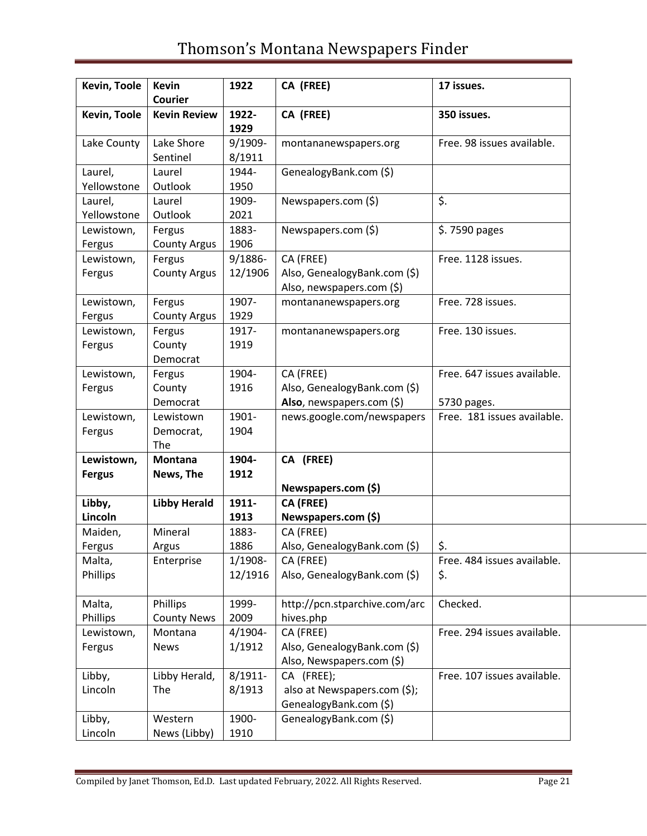| Kevin, Toole                | <b>Kevin</b><br><b>Courier</b> | 1922                  | CA (FREE)                                                              | 17 issues.                         |
|-----------------------------|--------------------------------|-----------------------|------------------------------------------------------------------------|------------------------------------|
| Kevin, Toole                | <b>Kevin Review</b>            | 1922-<br>1929         | CA (FREE)                                                              | 350 issues.                        |
| Lake County                 | Lake Shore<br>Sentinel         | 9/1909-<br>8/1911     | montananewspapers.org                                                  | Free. 98 issues available.         |
| Laurel,<br>Yellowstone      | Laurel<br>Outlook              | 1944-<br>1950         | GenealogyBank.com (\$)                                                 |                                    |
| Laurel,<br>Yellowstone      | Laurel<br>Outlook              | 1909-<br>2021         | Newspapers.com (\$)                                                    | \$.                                |
| Lewistown,<br>Fergus        | Fergus<br><b>County Argus</b>  | 1883-<br>1906         | Newspapers.com (\$)                                                    | \$.7590 pages                      |
| Lewistown,<br>Fergus        | Fergus<br><b>County Argus</b>  | 9/1886-<br>12/1906    | CA (FREE)<br>Also, GenealogyBank.com (\$)<br>Also, newspapers.com (\$) | Free. 1128 issues.                 |
| Lewistown,<br>Fergus        | Fergus<br><b>County Argus</b>  | 1907-<br>1929         | montananewspapers.org                                                  | Free. 728 issues.                  |
| Lewistown,<br>Fergus        | Fergus<br>County<br>Democrat   | 1917-<br>1919         | montananewspapers.org                                                  | Free. 130 issues.                  |
| Lewistown,<br>Fergus        | Fergus<br>County               | 1904-<br>1916         | CA (FREE)<br>Also, GenealogyBank.com (\$)                              | Free. 647 issues available.        |
|                             | Democrat                       |                       | Also, newspapers.com (\$)                                              | 5730 pages.                        |
| Lewistown,<br>Fergus        | Lewistown<br>Democrat,<br>The  | 1901-<br>1904         | news.google.com/newspapers                                             | Free. 181 issues available.        |
| Lewistown,<br><b>Fergus</b> | Montana<br>News, The           | 1904-<br>1912         | CA (FREE)                                                              |                                    |
| Libby,                      | <b>Libby Herald</b>            | 1911-                 | Newspapers.com (\$)<br><b>CA (FREE)</b>                                |                                    |
| Lincoln                     |                                | 1913                  | Newspapers.com (\$)                                                    |                                    |
| Maiden,<br>Fergus           | Mineral<br>Argus               | 1883-<br>1886         | CA (FREE)<br>Also, GenealogyBank.com (\$)                              | \$.                                |
| Malta,<br>Phillips          | Enterprise                     | $1/1908 -$<br>12/1916 | CA (FREE)<br>Also, GenealogyBank.com (\$)                              | Free. 484 issues available.<br>\$. |
| Malta,<br>Phillips          | Phillips<br><b>County News</b> | 1999-<br>2009         | http://pcn.stparchive.com/arc<br>hives.php                             | Checked.                           |
| Lewistown,<br>Fergus        | Montana<br><b>News</b>         | 4/1904-<br>1/1912     | CA (FREE)<br>Also, GenealogyBank.com (\$)<br>Also, Newspapers.com (\$) | Free. 294 issues available.        |
| Libby,<br>Lincoln           | Libby Herald,<br>The           | $8/1911 -$<br>8/1913  | CA (FREE);<br>also at Newspapers.com (\$);<br>GenealogyBank.com (\$)   | Free. 107 issues available.        |
| Libby,<br>Lincoln           | Western<br>News (Libby)        | 1900-<br>1910         | GenealogyBank.com (\$)                                                 |                                    |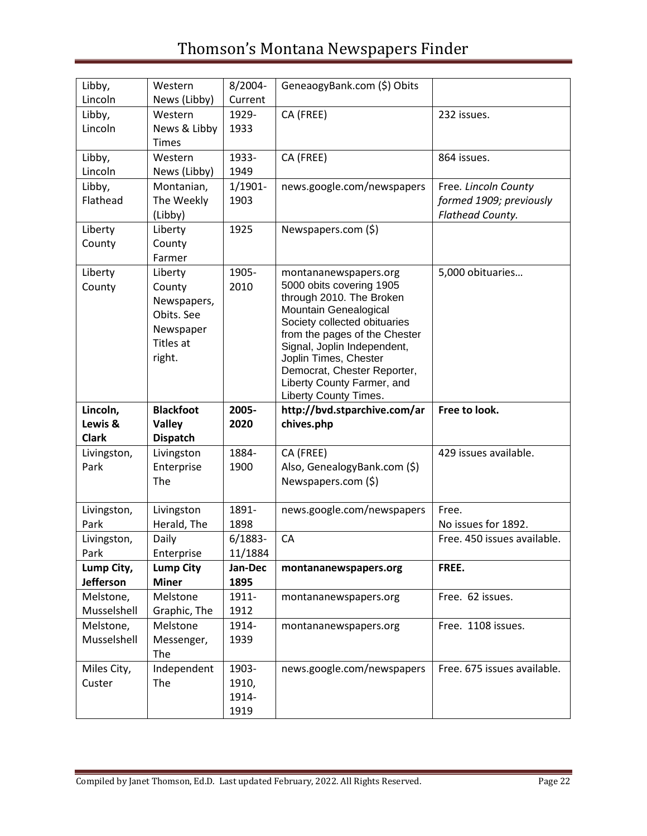| Libby,              | Western          | 8/2004-       | GeneaogyBank.com (\$) Obits                           |                             |
|---------------------|------------------|---------------|-------------------------------------------------------|-----------------------------|
| Lincoln             | News (Libby)     | Current       |                                                       |                             |
| Libby,              | Western          | 1929-         | CA (FREE)                                             | 232 issues.                 |
| Lincoln             | News & Libby     | 1933          |                                                       |                             |
|                     | <b>Times</b>     |               |                                                       |                             |
| Libby,              | Western          | 1933-         | CA (FREE)                                             | 864 issues.                 |
| Lincoln             | News (Libby)     | 1949          |                                                       |                             |
| Libby,              | Montanian,       | $1/1901 -$    | news.google.com/newspapers                            | Free. Lincoln County        |
| Flathead            | The Weekly       | 1903          |                                                       | formed 1909; previously     |
|                     | (Libby)          |               |                                                       | Flathead County.            |
| Liberty             | Liberty          | 1925          | Newspapers.com (\$)                                   |                             |
| County              | County           |               |                                                       |                             |
|                     | Farmer           |               |                                                       |                             |
| Liberty             | Liberty          | 1905-         | montananewspapers.org                                 | 5,000 obituaries            |
| County              | County           | 2010          | 5000 obits covering 1905                              |                             |
|                     | Newspapers,      |               | through 2010. The Broken                              |                             |
|                     | Obits. See       |               | Mountain Genealogical<br>Society collected obituaries |                             |
|                     | Newspaper        |               | from the pages of the Chester                         |                             |
|                     | Titles at        |               | Signal, Joplin Independent,                           |                             |
|                     | right.           |               | Joplin Times, Chester                                 |                             |
|                     |                  |               | Democrat, Chester Reporter,                           |                             |
|                     |                  |               | Liberty County Farmer, and<br>Liberty County Times.   |                             |
|                     |                  |               |                                                       |                             |
|                     |                  |               |                                                       |                             |
| Lincoln,            | <b>Blackfoot</b> | 2005-         | http://bvd.stparchive.com/ar                          | Free to look.               |
| Lewis &             | <b>Valley</b>    | 2020          | chives.php                                            |                             |
| <b>Clark</b>        | <b>Dispatch</b>  |               |                                                       |                             |
| Livingston,         | Livingston       | 1884-         | CA (FREE)                                             | 429 issues available.       |
| Park                | Enterprise       | 1900          | Also, GenealogyBank.com (\$)                          |                             |
|                     | The              |               | Newspapers.com (\$)                                   |                             |
|                     | Livingston       | 1891-         | news.google.com/newspapers                            | Free.                       |
| Livingston,<br>Park | Herald, The      | 1898          |                                                       | No issues for 1892.         |
| Livingston,         | Daily            | $6/1883 -$    | CA                                                    | Free. 450 issues available. |
| Park                | Enterprise       | 11/1884       |                                                       |                             |
| Lump City,          | <b>Lump City</b> | Jan-Dec       | montananewspapers.org                                 | FREE.                       |
| <b>Jefferson</b>    | <b>Miner</b>     | 1895          |                                                       |                             |
| Melstone,           | Melstone         | 1911-         | montananewspapers.org                                 | Free. 62 issues.            |
| Musselshell         | Graphic, The     | 1912          |                                                       |                             |
| Melstone,           | Melstone         | 1914-         | montananewspapers.org                                 | Free. 1108 issues.          |
| Musselshell         | Messenger,       | 1939          |                                                       |                             |
|                     | The              |               |                                                       |                             |
| Miles City,         | Independent      | 1903-         | news.google.com/newspapers                            | Free. 675 issues available. |
| Custer              | The              | 1910,         |                                                       |                             |
|                     |                  | 1914-<br>1919 |                                                       |                             |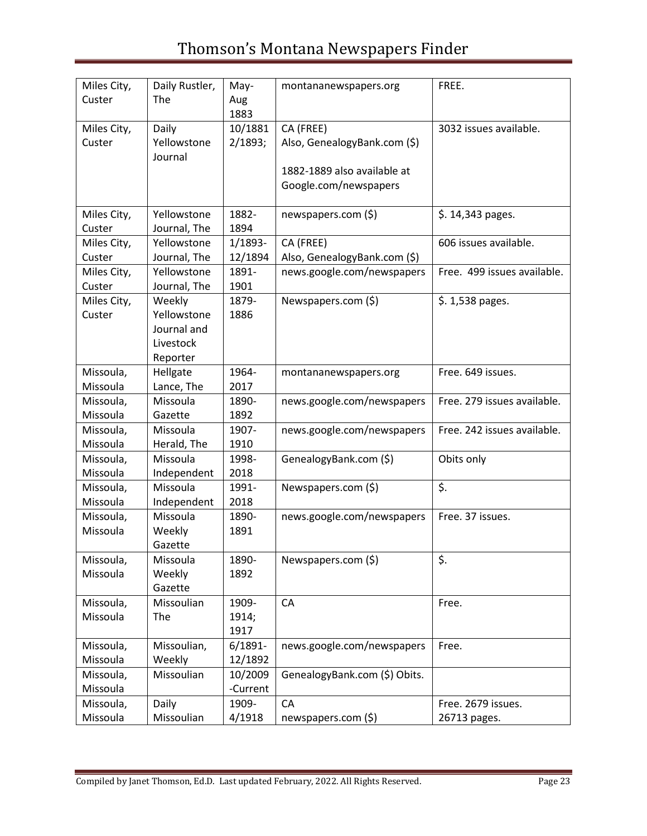| Miles City,<br>Custer | Daily Rustler,<br>The                                         | May-<br>Aug<br>1883    | montananewspapers.org                                                    | FREE.                              |
|-----------------------|---------------------------------------------------------------|------------------------|--------------------------------------------------------------------------|------------------------------------|
| Miles City,<br>Custer | Daily<br>Yellowstone<br>Journal                               | 10/1881<br>2/1893;     | CA (FREE)<br>Also, GenealogyBank.com (\$)<br>1882-1889 also available at | 3032 issues available.             |
|                       |                                                               |                        | Google.com/newspapers                                                    |                                    |
| Miles City,<br>Custer | Yellowstone<br>Journal, The                                   | 1882-<br>1894          | newspapers.com (\$)                                                      | \$. 14,343 pages.                  |
| Miles City,<br>Custer | Yellowstone<br>Journal, The                                   | 1/1893-<br>12/1894     | CA (FREE)<br>Also, GenealogyBank.com (\$)                                | 606 issues available.              |
| Miles City,<br>Custer | Yellowstone<br>Journal, The                                   | 1891-<br>1901          | news.google.com/newspapers                                               | Free. 499 issues available.        |
| Miles City,<br>Custer | Weekly<br>Yellowstone<br>Journal and<br>Livestock<br>Reporter | 1879-<br>1886          | Newspapers.com (\$)                                                      | \$. 1,538 pages.                   |
| Missoula,<br>Missoula | Hellgate<br>Lance, The                                        | 1964-<br>2017          | montananewspapers.org                                                    | Free. 649 issues.                  |
| Missoula,<br>Missoula | Missoula<br>Gazette                                           | 1890-<br>1892          | news.google.com/newspapers                                               | Free. 279 issues available.        |
| Missoula,<br>Missoula | Missoula<br>Herald, The                                       | 1907-<br>1910          | news.google.com/newspapers                                               | Free. 242 issues available.        |
| Missoula,<br>Missoula | Missoula<br>Independent                                       | 1998-<br>2018          | GenealogyBank.com (\$)                                                   | Obits only                         |
| Missoula,<br>Missoula | Missoula<br>Independent                                       | 1991-<br>2018          | Newspapers.com (\$)                                                      | \$.                                |
| Missoula,<br>Missoula | Missoula<br>Weekly<br>Gazette                                 | 1890-<br>1891          | news.google.com/newspapers                                               | Free. 37 issues.                   |
| Missoula,<br>Missoula | Missoula<br>Weekly<br>Gazette                                 | 1890-<br>1892          | Newspapers.com (\$)                                                      | \$.                                |
| Missoula,<br>Missoula | Missoulian<br>The                                             | 1909-<br>1914;<br>1917 | CA                                                                       | Free.                              |
| Missoula,<br>Missoula | Missoulian,<br>Weekly                                         | $6/1891 -$<br>12/1892  | news.google.com/newspapers                                               | Free.                              |
| Missoula,<br>Missoula | Missoulian                                                    | 10/2009<br>-Current    | GenealogyBank.com (\$) Obits.                                            |                                    |
| Missoula,<br>Missoula | Daily<br>Missoulian                                           | 1909-<br>4/1918        | CA<br>newspapers.com (\$)                                                | Free. 2679 issues.<br>26713 pages. |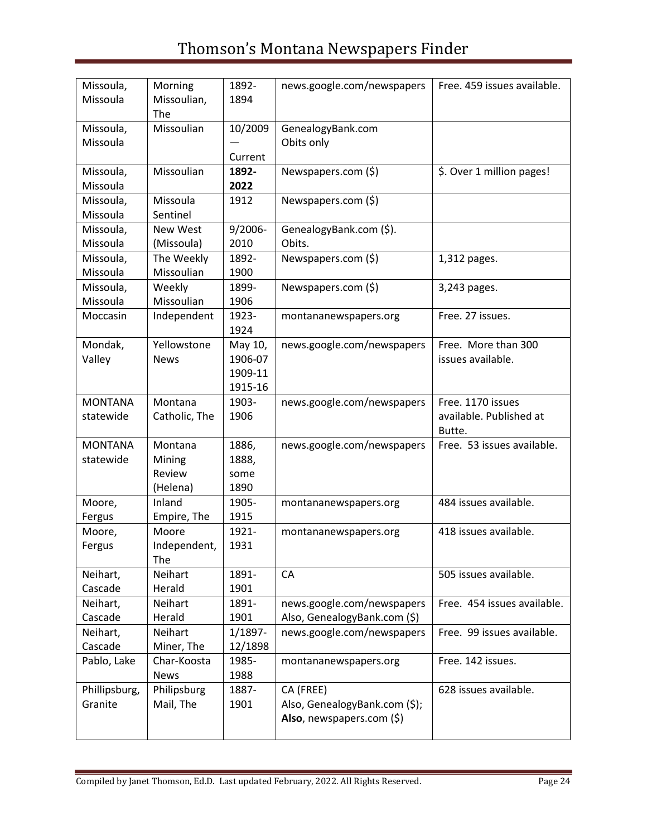| Missoula,      | Morning       | 1892-      | news.google.com/newspapers    | Free. 459 issues available. |
|----------------|---------------|------------|-------------------------------|-----------------------------|
| Missoula       | Missoulian,   | 1894       |                               |                             |
|                | The           |            |                               |                             |
| Missoula,      | Missoulian    | 10/2009    | GenealogyBank.com             |                             |
| Missoula       |               |            | Obits only                    |                             |
|                |               | Current    |                               |                             |
| Missoula,      | Missoulian    | 1892-      | Newspapers.com (\$)           | \$. Over 1 million pages!   |
| Missoula       |               | 2022       |                               |                             |
| Missoula,      | Missoula      | 1912       | Newspapers.com (\$)           |                             |
| Missoula       | Sentinel      |            |                               |                             |
| Missoula,      | New West      | $9/2006 -$ | GenealogyBank.com (\$).       |                             |
| Missoula       | (Missoula)    | 2010       | Obits.                        |                             |
| Missoula,      | The Weekly    | 1892-      | Newspapers.com (\$)           | 1,312 pages.                |
| Missoula       | Missoulian    | 1900       |                               |                             |
| Missoula,      | Weekly        | 1899-      | Newspapers.com (\$)           | 3,243 pages.                |
| Missoula       | Missoulian    | 1906       |                               |                             |
| Moccasin       | Independent   | 1923-      | montananewspapers.org         | Free. 27 issues.            |
|                |               | 1924       |                               |                             |
| Mondak,        | Yellowstone   | May 10,    | news.google.com/newspapers    | Free. More than 300         |
| Valley         | <b>News</b>   | 1906-07    |                               | issues available.           |
|                |               | 1909-11    |                               |                             |
|                |               |            |                               |                             |
|                |               | 1915-16    |                               |                             |
| <b>MONTANA</b> | Montana       | 1903-      | news.google.com/newspapers    | Free. 1170 issues           |
| statewide      | Catholic, The | 1906       |                               | available. Published at     |
|                |               |            |                               | Butte.                      |
| <b>MONTANA</b> | Montana       | 1886,      | news.google.com/newspapers    | Free. 53 issues available.  |
| statewide      | Mining        | 1888,      |                               |                             |
|                | Review        | some       |                               |                             |
|                | (Helena)      | 1890       |                               |                             |
| Moore,         | Inland        | 1905-      | montananewspapers.org         | 484 issues available.       |
| Fergus         | Empire, The   | 1915       |                               |                             |
| Moore,         | Moore         | 1921-      | montananewspapers.org         | 418 issues available.       |
| Fergus         | Independent,  | 1931       |                               |                             |
|                | The           |            |                               |                             |
| Neihart,       | Neihart       | 1891-      | CA                            | 505 issues available.       |
| Cascade        | Herald        | 1901       |                               |                             |
| Neihart,       | Neihart       | 1891-      | news.google.com/newspapers    | Free. 454 issues available. |
| Cascade        | Herald        | 1901       | Also, GenealogyBank.com (\$)  |                             |
| Neihart,       | Neihart       | 1/1897-    | news.google.com/newspapers    | Free. 99 issues available.  |
| Cascade        | Miner, The    | 12/1898    |                               |                             |
| Pablo, Lake    | Char-Koosta   | 1985-      | montananewspapers.org         | Free. 142 issues.           |
|                | News          | 1988       |                               |                             |
| Phillipsburg,  | Philipsburg   | 1887-      | CA (FREE)                     | 628 issues available.       |
| Granite        | Mail, The     | 1901       | Also, GenealogyBank.com (\$); |                             |
|                |               |            | Also, newspapers.com (\$)     |                             |
|                |               |            |                               |                             |
|                |               |            |                               |                             |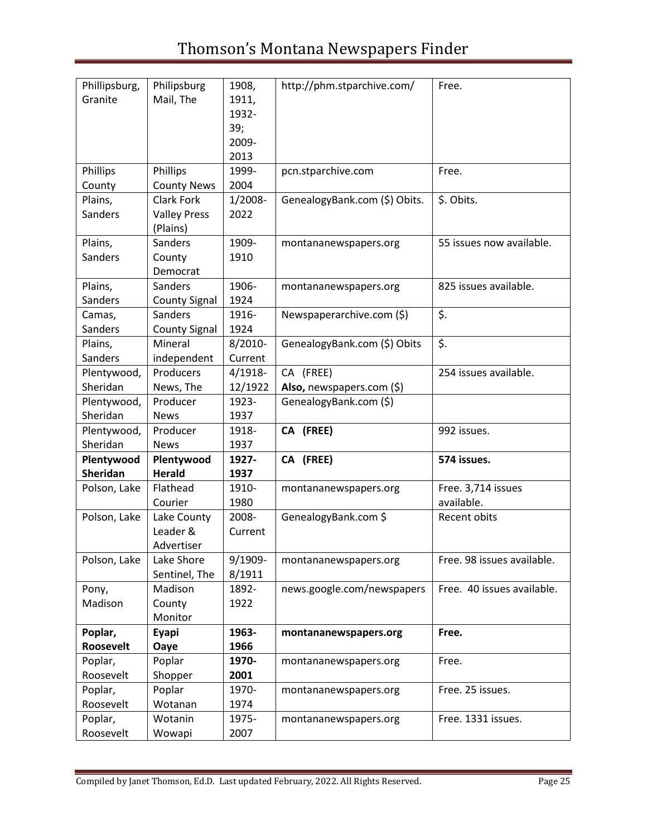| Phillipsburg,<br>Granite  | Philipsburg<br>Mail, The              | 1908,<br>1911,<br>1932-<br>39;<br>2009-<br>2013 | http://phm.stparchive.com/    | Free.                            |
|---------------------------|---------------------------------------|-------------------------------------------------|-------------------------------|----------------------------------|
| Phillips<br>County        | Phillips<br><b>County News</b>        | 1999-<br>2004                                   | pcn.stparchive.com            | Free.                            |
| Plains,                   | Clark Fork                            | 1/2008-                                         | GenealogyBank.com (\$) Obits. | \$. Obits.                       |
| <b>Sanders</b>            | <b>Valley Press</b><br>(Plains)       | 2022                                            |                               |                                  |
| Plains,<br><b>Sanders</b> | Sanders<br>County<br>Democrat         | 1909-<br>1910                                   | montananewspapers.org         | 55 issues now available.         |
| Plains,<br><b>Sanders</b> | Sanders<br><b>County Signal</b>       | 1906-<br>1924                                   | montananewspapers.org         | 825 issues available.            |
| Camas,<br>Sanders         | Sanders<br><b>County Signal</b>       | 1916-<br>1924                                   | Newspaperarchive.com (\$)     | \$.                              |
| Plains,                   | Mineral                               | 8/2010-                                         | GenealogyBank.com (\$) Obits  | \$.                              |
| Sanders                   | independent                           | Current                                         |                               |                                  |
| Plentywood,               | Producers                             | $4/1918-$                                       | CA (FREE)                     | 254 issues available.            |
| Sheridan                  | News, The                             | 12/1922                                         | Also, newspapers.com $(\xi)$  |                                  |
| Plentywood,               | Producer                              | 1923-                                           | GenealogyBank.com (\$)        |                                  |
| Sheridan                  | <b>News</b>                           | 1937                                            |                               |                                  |
| Plentywood,               | Producer                              | 1918-                                           | CA (FREE)                     | 992 issues.                      |
| Sheridan                  | <b>News</b>                           | 1937                                            |                               |                                  |
| Plentywood                | Plentywood                            | 1927-                                           | CA (FREE)                     | 574 issues.                      |
| <b>Sheridan</b>           | <b>Herald</b>                         | 1937                                            |                               |                                  |
| Polson, Lake              | Flathead<br>Courier                   | 1910-<br>1980                                   | montananewspapers.org         | Free. 3,714 issues<br>available. |
| Polson, Lake              | Lake County<br>Leader &<br>Advertiser | 2008-<br>Current                                | GenealogyBank.com \$          | Recent obits                     |
| Polson, Lake              | Lake Shore<br>Sentinel, The           | 9/1909-<br>8/1911                               | montananewspapers.org         | Free. 98 issues available.       |
| Pony,                     | Madison                               | 1892-                                           | news.google.com/newspapers    | Free. 40 issues available.       |
| Madison                   | County                                | 1922                                            |                               |                                  |
|                           | Monitor                               |                                                 |                               |                                  |
| Poplar,                   | Eyapi                                 | 1963-                                           | montananewspapers.org         | Free.                            |
| Roosevelt                 | Oaye                                  | 1966                                            |                               |                                  |
| Poplar,                   | Poplar                                | 1970-                                           | montananewspapers.org         | Free.                            |
| Roosevelt                 | Shopper                               | 2001                                            |                               |                                  |
| Poplar,                   | Poplar                                | 1970-                                           | montananewspapers.org         | Free. 25 issues.                 |
| Roosevelt                 | Wotanan                               | 1974                                            |                               |                                  |
| Poplar,<br>Roosevelt      | Wotanin<br>Wowapi                     | 1975-<br>2007                                   | montananewspapers.org         | Free. 1331 issues.               |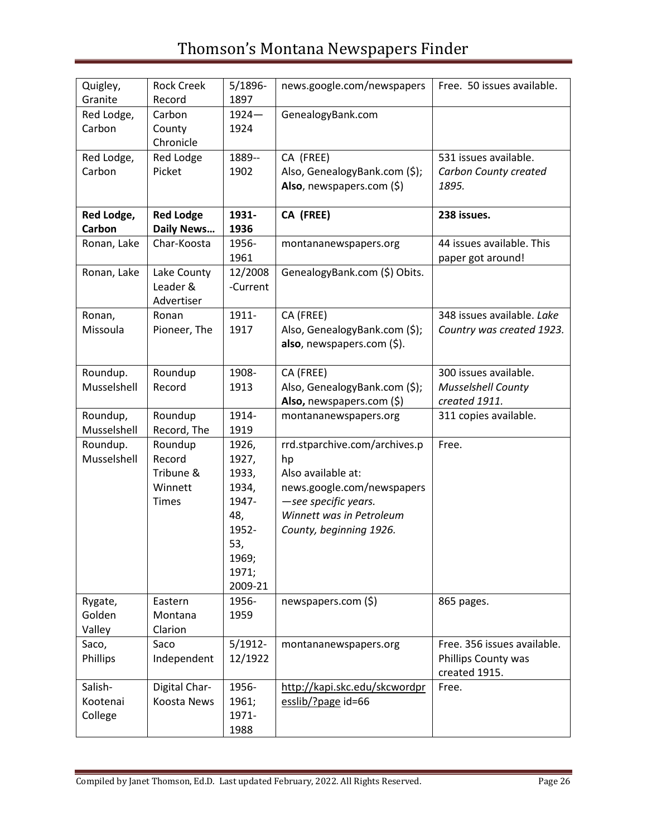| Quigley,<br>Granite            | <b>Rock Creek</b><br>Record                        | $5/1896 -$<br>1897                                                                            | news.google.com/newspapers                                                                                                                                             | Free. 50 issues available.                                          |
|--------------------------------|----------------------------------------------------|-----------------------------------------------------------------------------------------------|------------------------------------------------------------------------------------------------------------------------------------------------------------------------|---------------------------------------------------------------------|
| Red Lodge,<br>Carbon           | Carbon<br>County<br>Chronicle                      | $1924 -$<br>1924                                                                              | GenealogyBank.com                                                                                                                                                      |                                                                     |
| Red Lodge,<br>Carbon           | Red Lodge<br>Picket                                | 1889--<br>1902                                                                                | CA (FREE)<br>Also, GenealogyBank.com (\$);<br>Also, newspapers.com (\$)                                                                                                | 531 issues available.<br>Carbon County created<br>1895.             |
| Red Lodge,<br>Carbon           | <b>Red Lodge</b><br><b>Daily News</b>              | 1931-<br>1936                                                                                 | CA (FREE)                                                                                                                                                              | 238 issues.                                                         |
| Ronan, Lake                    | Char-Koosta                                        | 1956-<br>1961                                                                                 | montananewspapers.org                                                                                                                                                  | 44 issues available. This<br>paper got around!                      |
| Ronan, Lake                    | Lake County<br>Leader &<br>Advertiser              | 12/2008<br>-Current                                                                           | GenealogyBank.com (\$) Obits.                                                                                                                                          |                                                                     |
| Ronan,<br>Missoula             | Ronan<br>Pioneer, The                              | 1911-<br>1917                                                                                 | CA (FREE)<br>Also, GenealogyBank.com (\$);<br>also, newspapers.com (\$).                                                                                               | 348 issues available. Lake<br>Country was created 1923.             |
| Roundup.<br>Musselshell        | Roundup<br>Record                                  | 1908-<br>1913                                                                                 | CA (FREE)<br>Also, GenealogyBank.com (\$);<br>Also, newspapers.com (\$)                                                                                                | 300 issues available.<br><b>Musselshell County</b><br>created 1911. |
| Roundup,<br>Musselshell        | Roundup<br>Record, The                             | 1914-<br>1919                                                                                 | montananewspapers.org                                                                                                                                                  | 311 copies available.                                               |
| Roundup.<br>Musselshell        | Roundup<br>Record<br>Tribune &<br>Winnett<br>Times | 1926,<br>1927,<br>1933,<br>1934,<br>1947-<br>48,<br>1952-<br>53,<br>1969;<br>1971;<br>2009-21 | rrd.stparchive.com/archives.p<br>hp<br>Also available at:<br>news.google.com/newspapers<br>-see specific years.<br>Winnett was in Petroleum<br>County, beginning 1926. | Free.                                                               |
| Rygate,<br>Golden<br>Valley    | Eastern<br>Montana<br>Clarion                      | 1956-<br>1959                                                                                 | newspapers.com (\$)                                                                                                                                                    | 865 pages.                                                          |
| Saco,<br>Phillips              | Saco<br>Independent                                | $5/1912 -$<br>12/1922                                                                         | montananewspapers.org                                                                                                                                                  | Free. 356 issues available.<br>Phillips County was<br>created 1915. |
| Salish-<br>Kootenai<br>College | Digital Char-<br>Koosta News                       | 1956-<br>1961;<br>1971-<br>1988                                                               | http://kapi.skc.edu/skcwordpr<br>esslib/?page id=66                                                                                                                    | Free.                                                               |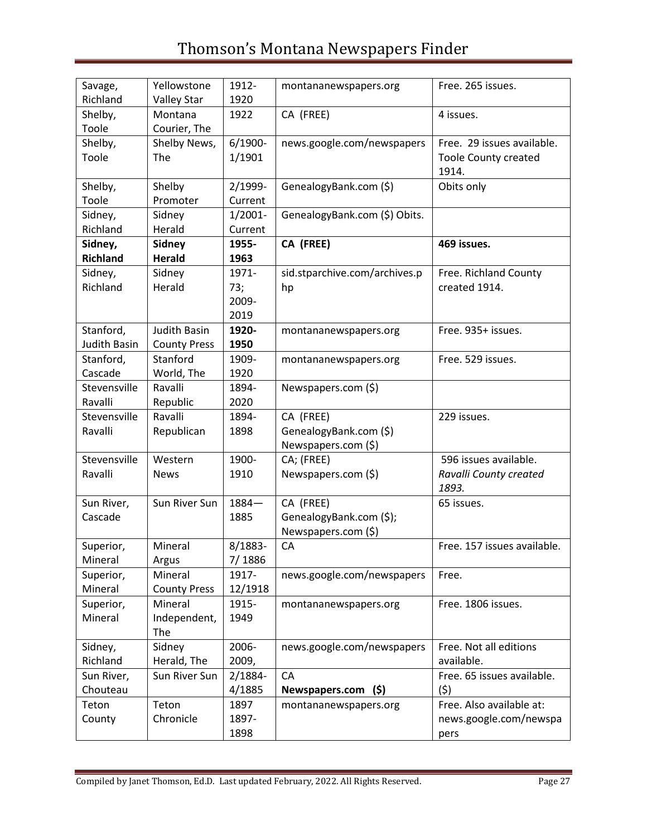| Savage,              | Yellowstone         | 1912-         | montananewspapers.org         | Free. 265 issues.              |
|----------------------|---------------------|---------------|-------------------------------|--------------------------------|
| Richland             | <b>Valley Star</b>  | 1920          |                               |                                |
| Shelby,              | Montana             | 1922          | CA (FREE)                     | 4 issues.                      |
| Toole                | Courier, The        |               |                               |                                |
| Shelby,              | Shelby News,        | $6/1900 -$    | news.google.com/newspapers    | Free. 29 issues available.     |
| Toole                | The                 | 1/1901        |                               | <b>Toole County created</b>    |
|                      |                     |               |                               | 1914.                          |
| Shelby,              | Shelby              | 2/1999-       | GenealogyBank.com (\$)        | Obits only                     |
| Toole                | Promoter            | Current       |                               |                                |
| Sidney,              | Sidney              | $1/2001 -$    | GenealogyBank.com (\$) Obits. |                                |
| Richland             | Herald              | Current       |                               |                                |
| Sidney,              | <b>Sidney</b>       | 1955-         | CA (FREE)                     | 469 issues.                    |
| <b>Richland</b>      | <b>Herald</b>       | 1963          |                               |                                |
| Sidney,              | Sidney              | 1971-         | sid.stparchive.com/archives.p | Free. Richland County          |
| Richland             | Herald              | 73;           | hp                            | created 1914.                  |
|                      |                     | 2009-         |                               |                                |
|                      |                     | 2019          |                               |                                |
| Stanford,            | <b>Judith Basin</b> | 1920-         | montananewspapers.org         | Free. 935+ issues.             |
| <b>Judith Basin</b>  | <b>County Press</b> | 1950          |                               |                                |
|                      | Stanford            | 1909-         |                               |                                |
| Stanford,<br>Cascade |                     | 1920          | montananewspapers.org         | Free. 529 issues.              |
|                      | World, The          |               |                               |                                |
| Stevensville         | Ravalli             | 1894-         | Newspapers.com (\$)           |                                |
| Ravalli              | Republic            | 2020          |                               |                                |
| Stevensville         | Ravalli             | 1894-         | CA (FREE)                     | 229 issues.                    |
| Ravalli              | Republican          | 1898          | GenealogyBank.com (\$)        |                                |
|                      |                     |               | Newspapers.com (\$)           |                                |
| Stevensville         | Western             | 1900-         | CA; (FREE)                    | 596 issues available.          |
| Ravalli              | <b>News</b>         | 1910          | Newspapers.com (\$)           | Ravalli County created         |
|                      |                     |               |                               | 1893.                          |
| Sun River,           | Sun River Sun       | $1884 -$      | CA (FREE)                     | 65 issues.                     |
| Cascade              |                     | 1885          | GenealogyBank.com (\$);       |                                |
|                      |                     |               | Newspapers.com (\$)           |                                |
| Superior,            | Mineral             | 8/1883-       | CA                            | Free. 157 issues available.    |
| Mineral              | Argus               | 7/1886        |                               |                                |
| Superior,            | Mineral             | 1917-         | news.google.com/newspapers    | Free.                          |
| Mineral              | <b>County Press</b> | 12/1918       |                               |                                |
| Superior,            | Mineral             | 1915-         | montananewspapers.org         | Free. 1806 issues.             |
| Mineral              | Independent,        | 1949          |                               |                                |
|                      | The                 |               |                               |                                |
| Sidney,              | Sidney              | 2006-         | news.google.com/newspapers    | Free. Not all editions         |
| Richland             | Herald, The         | 2009,         |                               | available.                     |
| Sun River,           | Sun River Sun       | 2/1884-       | CA                            | Free. 65 issues available.     |
| Chouteau             |                     |               |                               |                                |
|                      |                     |               |                               |                                |
|                      |                     | 4/1885        | (5)<br>Newspapers.com         | (5)                            |
| Teton                | Teton               | 1897          | montananewspapers.org         | Free. Also available at:       |
| County               | Chronicle           | 1897-<br>1898 |                               | news.google.com/newspa<br>pers |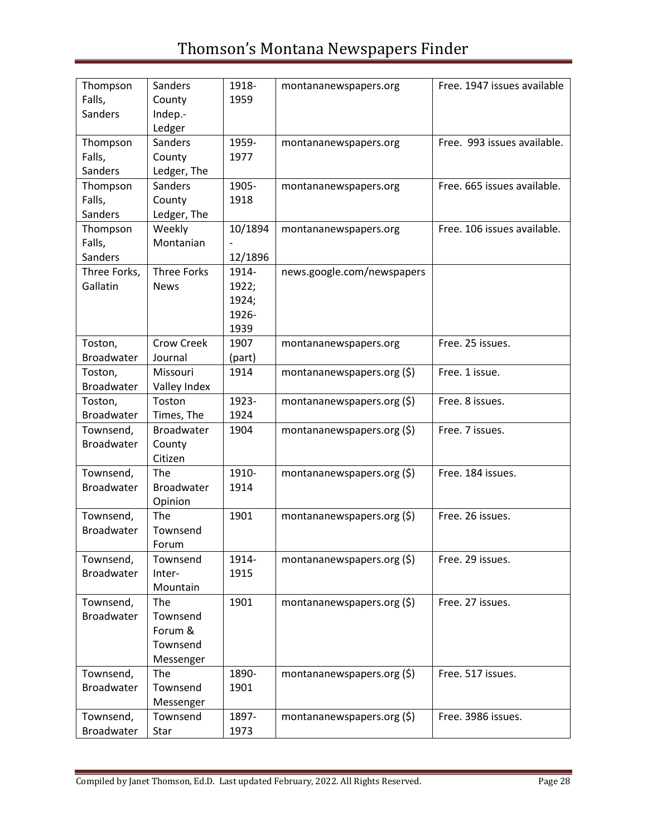| Thompson          | <b>Sanders</b>        | 1918-   | montananewspapers.org         | Free. 1947 issues available |
|-------------------|-----------------------|---------|-------------------------------|-----------------------------|
| Falls,            | County                | 1959    |                               |                             |
| <b>Sanders</b>    | Indep.-               |         |                               |                             |
|                   | Ledger                |         |                               |                             |
| Thompson          | Sanders               | 1959-   | montananewspapers.org         | Free. 993 issues available. |
| Falls,            | County                | 1977    |                               |                             |
| Sanders           | Ledger, The           |         |                               |                             |
| Thompson          | <b>Sanders</b>        | 1905-   | montananewspapers.org         | Free. 665 issues available. |
| Falls,            | County                | 1918    |                               |                             |
| <b>Sanders</b>    | Ledger, The           |         |                               |                             |
| Thompson          | Weekly                | 10/1894 | montananewspapers.org         | Free. 106 issues available. |
| Falls,            | Montanian             |         |                               |                             |
| Sanders           |                       | 12/1896 |                               |                             |
| Three Forks,      | <b>Three Forks</b>    | 1914-   | news.google.com/newspapers    |                             |
| Gallatin          | <b>News</b>           | 1922;   |                               |                             |
|                   |                       | 1924;   |                               |                             |
|                   |                       | 1926-   |                               |                             |
|                   |                       | 1939    |                               |                             |
| Toston,           | Crow Creek            | 1907    | montananewspapers.org         | Free. 25 issues.            |
| Broadwater        | Journal               | (part)  |                               |                             |
| Toston,           | Missouri              | 1914    | montananewspapers.org $(\xi)$ | Free. 1 issue.              |
| Broadwater        | Valley Index          |         |                               |                             |
| Toston,           | Toston                | 1923-   | montananewspapers.org $(\xi)$ | Free. 8 issues.             |
| Broadwater        | Times, The            | 1924    |                               |                             |
| Townsend,         | <b>Broadwater</b>     | 1904    | montananewspapers.org $(5)$   | Free. 7 issues.             |
| <b>Broadwater</b> | County                |         |                               |                             |
|                   | Citizen               |         |                               |                             |
| Townsend,         | The                   | 1910-   | montananewspapers.org $(\xi)$ | Free. 184 issues.           |
| <b>Broadwater</b> | <b>Broadwater</b>     | 1914    |                               |                             |
|                   | Opinion               |         |                               |                             |
| Townsend,         | The                   | 1901    | montananewspapers.org $(\xi)$ | Free. 26 issues.            |
| Broadwater        | Townsend              |         |                               |                             |
|                   | Forum                 |         |                               |                             |
| Townsend,         | Townsend              | 1914-   | montananewspapers.org $(\xi)$ | Free. 29 issues.            |
| Broadwater        | Inter-                | 1915    |                               |                             |
|                   | Mountain              |         |                               |                             |
| Townsend,         | The                   | 1901    | montananewspapers.org $(\xi)$ | Free. 27 issues.            |
| Broadwater        | Townsend              |         |                               |                             |
|                   | Forum &               |         |                               |                             |
|                   | Townsend              |         |                               |                             |
|                   | Messenger             |         |                               |                             |
| Townsend,         | The                   | 1890-   | montananewspapers.org $(\xi)$ | Free. 517 issues.           |
| Broadwater        | Townsend              | 1901    |                               |                             |
|                   |                       |         |                               |                             |
|                   | Messenger<br>Townsend | 1897-   |                               |                             |
| Townsend,         |                       |         | montananewspapers.org $(\xi)$ | Free. 3986 issues.          |
| Broadwater        | Star                  | 1973    |                               |                             |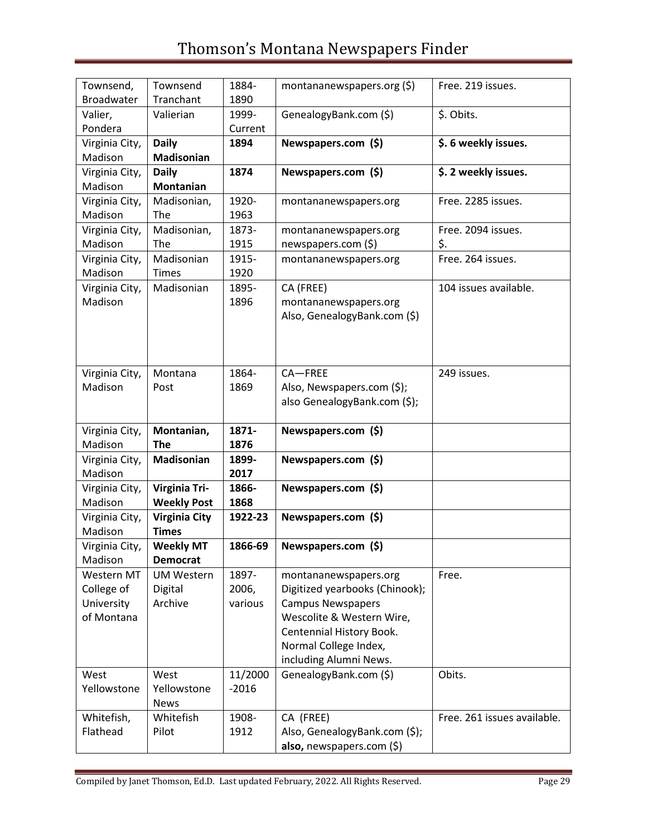| Townsend,<br>Broadwater | Townsend<br>Tranchant | 1884-<br>1890 | montananewspapers.org $(\xi)$  | Free. 219 issues.           |
|-------------------------|-----------------------|---------------|--------------------------------|-----------------------------|
| Valier,                 | Valierian             | 1999-         | GenealogyBank.com (\$)         | \$. Obits.                  |
| Pondera                 |                       | Current       |                                |                             |
|                         |                       |               |                                |                             |
| Virginia City,          | <b>Daily</b>          | 1894          | Newspapers.com (\$)            | \$. 6 weekly issues.        |
| Madison                 | Madisonian            |               |                                |                             |
| Virginia City,          | <b>Daily</b>          | 1874          | Newspapers.com (\$)            | \$. 2 weekly issues.        |
| Madison                 | <b>Montanian</b>      |               |                                |                             |
| Virginia City,          | Madisonian,           | 1920-         | montananewspapers.org          | Free. 2285 issues.          |
| Madison                 | The                   | 1963          |                                |                             |
| Virginia City,          | Madisonian,           | 1873-         | montananewspapers.org          | Free. 2094 issues.          |
| Madison                 | The                   | 1915          | newspapers.com (\$)            | \$.                         |
| Virginia City,          | Madisonian            | 1915-         | montananewspapers.org          | Free. 264 issues.           |
| Madison                 | <b>Times</b>          | 1920          |                                |                             |
| Virginia City,          | Madisonian            | 1895-         | CA (FREE)                      | 104 issues available.       |
| Madison                 |                       | 1896          | montananewspapers.org          |                             |
|                         |                       |               | Also, GenealogyBank.com (\$)   |                             |
|                         |                       |               |                                |                             |
|                         |                       |               |                                |                             |
|                         |                       |               |                                |                             |
| Virginia City,          | Montana               | 1864-         | $CA-FREE$                      | 249 issues.                 |
| Madison                 | Post                  | 1869          | Also, Newspapers.com (\$);     |                             |
|                         |                       |               | also GenealogyBank.com (\$);   |                             |
|                         |                       |               |                                |                             |
| Virginia City,          | Montanian,            | 1871-         | Newspapers.com (\$)            |                             |
| Madison                 | <b>The</b>            | 1876          |                                |                             |
| Virginia City,          | <b>Madisonian</b>     | 1899-         | Newspapers.com (\$)            |                             |
| Madison                 |                       | 2017          |                                |                             |
| Virginia City,          | <b>Virginia Tri-</b>  | 1866-         | Newspapers.com (\$)            |                             |
| Madison                 | <b>Weekly Post</b>    | 1868          |                                |                             |
| Virginia City,          | <b>Virginia City</b>  | 1922-23       | Newspapers.com (\$)            |                             |
| Madison                 | <b>Times</b>          |               |                                |                             |
|                         |                       |               |                                |                             |
| Virginia City,          | <b>Weekly MT</b>      | 1866-69       | Newspapers.com (\$)            |                             |
| Madison                 | <b>Democrat</b>       |               |                                |                             |
| Western MT              | <b>UM Western</b>     | 1897-         | montananewspapers.org          | Free.                       |
| College of              | Digital               | 2006,         | Digitized yearbooks (Chinook); |                             |
| University              | Archive               | various       | <b>Campus Newspapers</b>       |                             |
| of Montana              |                       |               | Wescolite & Western Wire,      |                             |
|                         |                       |               | Centennial History Book.       |                             |
|                         |                       |               | Normal College Index,          |                             |
|                         |                       |               | including Alumni News.         |                             |
| West                    | West                  | 11/2000       | GenealogyBank.com (\$)         | Obits.                      |
| Yellowstone             | Yellowstone           | $-2016$       |                                |                             |
|                         | <b>News</b>           |               |                                |                             |
| Whitefish,              | Whitefish             | 1908-         | CA (FREE)                      | Free. 261 issues available. |
| Flathead                | Pilot                 | 1912          | Also, GenealogyBank.com (\$);  |                             |
|                         |                       |               | also, newspapers.com (\$)      |                             |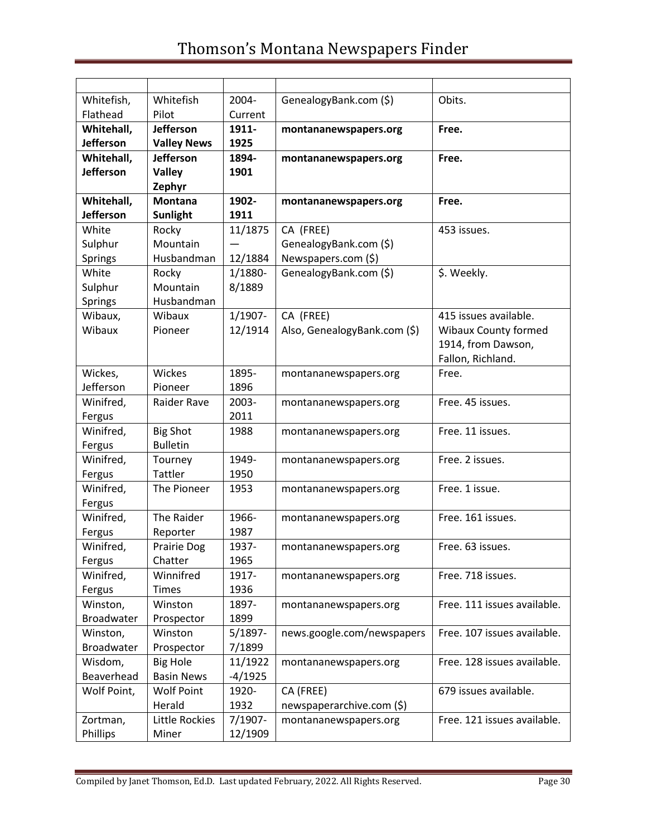| Whitefish,          | Whitefish              | 2004-         | GenealogyBank.com (\$)       | Obits.                      |
|---------------------|------------------------|---------------|------------------------------|-----------------------------|
| Flathead            | Pilot                  | Current       |                              |                             |
| Whitehall,          | Jefferson              | 1911-         | montananewspapers.org        | Free.                       |
| Jefferson           | <b>Valley News</b>     | 1925          |                              |                             |
| Whitehall,          | <b>Jefferson</b>       | 1894-         | montananewspapers.org        | Free.                       |
| <b>Jefferson</b>    | <b>Valley</b>          | 1901          |                              |                             |
|                     | Zephyr                 |               |                              |                             |
| Whitehall,          | <b>Montana</b>         | 1902-         | montananewspapers.org        | Free.                       |
| <b>Jefferson</b>    | <b>Sunlight</b>        | 1911          |                              |                             |
| White               | Rocky                  | 11/1875       | CA (FREE)                    | 453 issues.                 |
| Sulphur             | Mountain               |               | GenealogyBank.com (\$)       |                             |
| Springs             | Husbandman             | 12/1884       | Newspapers.com (\$)          |                             |
| White               | Rocky                  | 1/1880-       | GenealogyBank.com (\$)       | \$. Weekly.                 |
| Sulphur             | Mountain               | 8/1889        |                              |                             |
| <b>Springs</b>      | Husbandman             |               |                              |                             |
| Wibaux,             | Wibaux                 | $1/1907 -$    | CA (FREE)                    | 415 issues available.       |
| Wibaux              | Pioneer                | 12/1914       | Also, GenealogyBank.com (\$) | <b>Wibaux County formed</b> |
|                     |                        |               |                              | 1914, from Dawson,          |
|                     |                        |               |                              | Fallon, Richland.           |
| Wickes,             | Wickes                 | 1895-         | montananewspapers.org        | Free.                       |
| Jefferson           | Pioneer                | 1896          |                              |                             |
| Winifred,           | Raider Rave            | 2003-         | montananewspapers.org        | Free. 45 issues.            |
| Fergus              |                        | 2011          |                              |                             |
| Winifred,           | <b>Big Shot</b>        | 1988          | montananewspapers.org        | Free. 11 issues.            |
| Fergus              | <b>Bulletin</b>        |               |                              |                             |
| Winifred,           | Tourney                | 1949-         | montananewspapers.org        | Free. 2 issues.             |
| Fergus              | <b>Tattler</b>         | 1950          |                              |                             |
| Winifred,           | The Pioneer            | 1953          | montananewspapers.org        | Free. 1 issue.              |
| Fergus              | The Raider             |               |                              |                             |
| Winifred,           |                        | 1966-<br>1987 | montananewspapers.org        | Free. 161 issues.           |
| Fergus<br>Winifred, | Reporter               | 1937-         |                              |                             |
|                     | Prairie Dog<br>Chatter | 1965          | montananewspapers.org        | Free. 63 issues.            |
| Fergus<br>Winifred, | Winnifred              | 1917-         |                              | Free. 718 issues.           |
| Fergus              | <b>Times</b>           | 1936          | montananewspapers.org        |                             |
| Winston,            | Winston                | 1897-         |                              | Free. 111 issues available. |
| Broadwater          | Prospector             | 1899          | montananewspapers.org        |                             |
| Winston,            | Winston                | $5/1897 -$    | news.google.com/newspapers   | Free. 107 issues available. |
| <b>Broadwater</b>   | Prospector             | 7/1899        |                              |                             |
| Wisdom,             | <b>Big Hole</b>        | 11/1922       |                              | Free. 128 issues available. |
| Beaverhead          | <b>Basin News</b>      | $-4/1925$     | montananewspapers.org        |                             |
| Wolf Point,         | <b>Wolf Point</b>      | 1920-         | CA (FREE)                    | 679 issues available.       |
|                     | Herald                 | 1932          | newspaperarchive.com (\$)    |                             |
|                     | Little Rockies         | 7/1907-       |                              | Free. 121 issues available. |
| Zortman,            |                        |               | montananewspapers.org        |                             |
| Phillips            | Miner                  | 12/1909       |                              |                             |